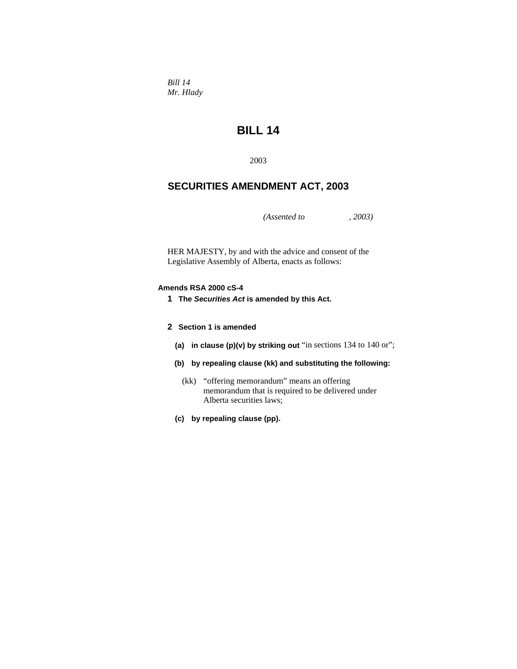*Bill 14 Mr. Hlady* 

# **BILL 14**

2003

## **SECURITIES AMENDMENT ACT, 2003**

*(Assented to , 2003)* 

HER MAJESTY, by and with the advice and consent of the Legislative Assembly of Alberta, enacts as follows:

### **Amends RSA 2000 cS-4**

- **1 The** *Securities Act* **is amended by this Act.**
- **2 Section 1 is amended** 
	- **(a) in clause (p)(v) by striking out** "in sections 134 to 140 or";
	- **(b) by repealing clause (kk) and substituting the following:**
		- (kk) "offering memorandum" means an offering memorandum that is required to be delivered under Alberta securities laws;
	- **(c) by repealing clause (pp).**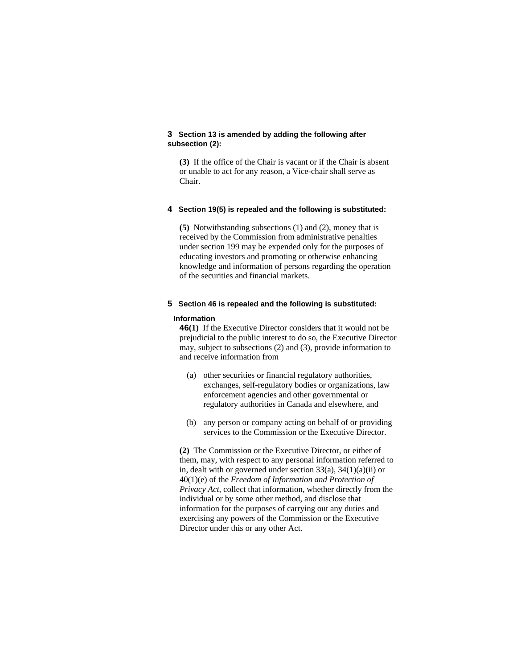### **3 Section 13 is amended by adding the following after subsection (2):**

**(3)** If the office of the Chair is vacant or if the Chair is absent or unable to act for any reason, a Vice-chair shall serve as Chair.

#### **4 Section 19(5) is repealed and the following is substituted:**

**(5)** Notwithstanding subsections (1) and (2), money that is received by the Commission from administrative penalties under section 199 may be expended only for the purposes of educating investors and promoting or otherwise enhancing knowledge and information of persons regarding the operation of the securities and financial markets.

### **5 Section 46 is repealed and the following is substituted:**

#### **Information**

**46(1)** If the Executive Director considers that it would not be prejudicial to the public interest to do so, the Executive Director may, subject to subsections (2) and (3), provide information to and receive information from

- (a) other securities or financial regulatory authorities, exchanges, self-regulatory bodies or organizations, law enforcement agencies and other governmental or regulatory authorities in Canada and elsewhere, and
- (b) any person or company acting on behalf of or providing services to the Commission or the Executive Director.

**(2)** The Commission or the Executive Director, or either of them, may, with respect to any personal information referred to in, dealt with or governed under section 33(a), 34(1)(a)(ii) or 40(1)(e) of the *Freedom of Information and Protection of Privacy Act*, collect that information, whether directly from the individual or by some other method, and disclose that information for the purposes of carrying out any duties and exercising any powers of the Commission or the Executive Director under this or any other Act.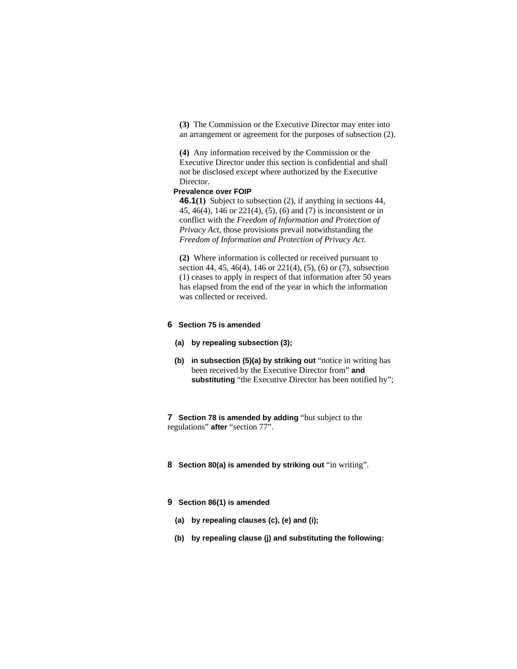**(3)** The Commission or the Executive Director may enter into an arrangement or agreement for the purposes of subsection (2).

**(4)** Any information received by the Commission or the Executive Director under this section is confidential and shall not be disclosed except where authorized by the Executive Director.

### **Prevalence over FOIP**

**46.1(1)** Subject to subsection (2), if anything in sections 44, 45, 46(4), 146 or 221(4), (5), (6) and (7) is inconsistent or in conflict with the *Freedom of Information and Protection of Privacy Act*, those provisions prevail notwithstanding the *Freedom of Information and Protection of Privacy Act*.

**(2)** Where information is collected or received pursuant to section 44, 45, 46(4), 146 or 221(4), (5), (6) or (7), subsection (1) ceases to apply in respect of that information after 50 years has elapsed from the end of the year in which the information was collected or received.

### **6 Section 75 is amended**

- **(a) by repealing subsection (3);**
- **(b) in subsection (5)(a) by striking out** "notice in writing has been received by the Executive Director from" **and**  substituting "the Executive Director has been notified by";

**7 Section 78 is amended by adding** "but subject to the regulations" **after** "section 77".

- **8 Section 80(a) is amended by striking out** "in writing".
- **9 Section 86(1) is amended** 
	- **(a) by repealing clauses (c), (e) and (i);**
	- **(b) by repealing clause (j) and substituting the following:**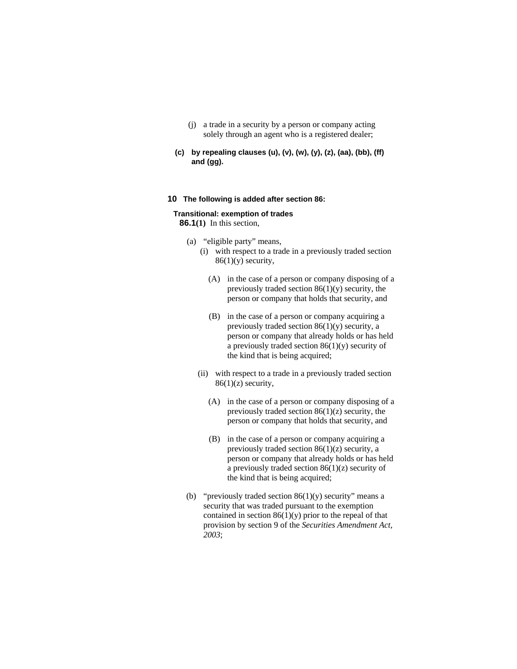- (j) a trade in a security by a person or company acting solely through an agent who is a registered dealer;
- **(c) by repealing clauses (u), (v), (w), (y), (z), (aa), (bb), (ff) and (gg).**

### **10 The following is added after section 86:**

### **Transitional: exemption of trades**

**86.1(1)** In this section,

- (a) "eligible party" means,
	- (i) with respect to a trade in a previously traded section  $86(1)(y)$  security,
		- (A) in the case of a person or company disposing of a previously traded section 86(1)(y) security, the person or company that holds that security, and
		- (B) in the case of a person or company acquiring a previously traded section  $86(1)(y)$  security, a person or company that already holds or has held a previously traded section  $86(1)(y)$  security of the kind that is being acquired;
	- (ii) with respect to a trade in a previously traded section  $86(1)(z)$  security,
		- (A) in the case of a person or company disposing of a previously traded section  $86(1)(z)$  security, the person or company that holds that security, and
		- (B) in the case of a person or company acquiring a previously traded section 86(1)(z) security, a person or company that already holds or has held a previously traded section  $86(1)(z)$  security of the kind that is being acquired;
- (b) "previously traded section  $86(1)(y)$  security" means a security that was traded pursuant to the exemption contained in section  $86(1)(y)$  prior to the repeal of that provision by section 9 of the *Securities Amendment Act, 2003*;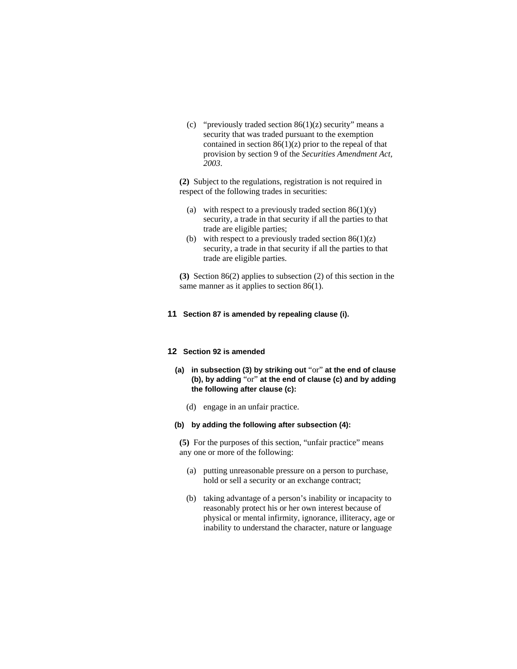(c) "previously traded section  $86(1)(z)$  security" means a security that was traded pursuant to the exemption contained in section  $86(1)(z)$  prior to the repeal of that provision by section 9 of the *Securities Amendment Act, 2003*.

**(2)** Subject to the regulations, registration is not required in respect of the following trades in securities:

- (a) with respect to a previously traded section  $86(1)(y)$ security, a trade in that security if all the parties to that trade are eligible parties;
- (b) with respect to a previously traded section  $86(1)(z)$ security, a trade in that security if all the parties to that trade are eligible parties.

**(3)** Section 86(2) applies to subsection (2) of this section in the same manner as it applies to section 86(1).

#### **11 Section 87 is amended by repealing clause (i).**

#### **12 Section 92 is amended**

- **(a) in subsection (3) by striking out** "or" **at the end of clause (b), by adding** "or" **at the end of clause (c) and by adding the following after clause (c):**
	- (d) engage in an unfair practice.
- **(b) by adding the following after subsection (4):**

**(5)** For the purposes of this section, "unfair practice" means any one or more of the following:

- (a) putting unreasonable pressure on a person to purchase, hold or sell a security or an exchange contract;
- (b) taking advantage of a person's inability or incapacity to reasonably protect his or her own interest because of physical or mental infirmity, ignorance, illiteracy, age or inability to understand the character, nature or language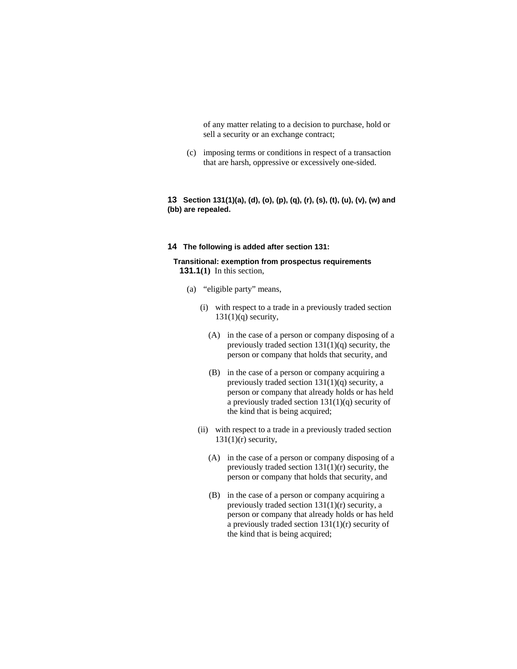of any matter relating to a decision to purchase, hold or sell a security or an exchange contract;

 (c) imposing terms or conditions in respect of a transaction that are harsh, oppressive or excessively one-sided.

### **13 Section 131(1)(a), (d), (o), (p), (q), (r), (s), (t), (u), (v), (w) and (bb) are repealed.**

### **14 The following is added after section 131:**

### **Transitional: exemption from prospectus requirements 131.1(1)** In this section,

- (a) "eligible party" means,
	- (i) with respect to a trade in a previously traded section  $131(1)(q)$  security,
		- (A) in the case of a person or company disposing of a previously traded section  $131(1)(q)$  security, the person or company that holds that security, and
		- (B) in the case of a person or company acquiring a previously traded section 131(1)(q) security, a person or company that already holds or has held a previously traded section 131(1)(q) security of the kind that is being acquired;
	- (ii) with respect to a trade in a previously traded section  $131(1)(r)$  security,
		- (A) in the case of a person or company disposing of a previously traded section  $131(1)(r)$  security, the person or company that holds that security, and
		- (B) in the case of a person or company acquiring a previously traded section 131(1)(r) security, a person or company that already holds or has held a previously traded section 131(1)(r) security of the kind that is being acquired;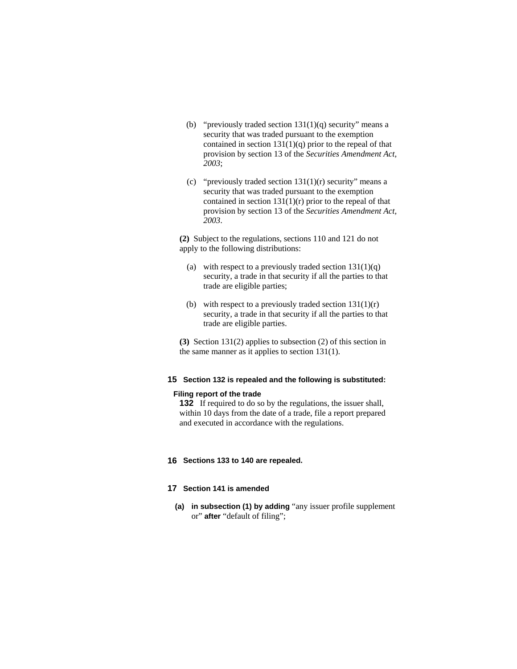- (b) "previously traded section  $131(1)(q)$  security" means a security that was traded pursuant to the exemption contained in section  $131(1)(q)$  prior to the repeal of that provision by section 13 of the *Securities Amendment Act, 2003*;
- (c) "previously traded section  $131(1)(r)$  security" means a security that was traded pursuant to the exemption contained in section  $131(1)(r)$  prior to the repeal of that provision by section 13 of the *Securities Amendment Act, 2003*.

**(2)** Subject to the regulations, sections 110 and 121 do not apply to the following distributions:

- (a) with respect to a previously traded section  $131(1)(q)$ security, a trade in that security if all the parties to that trade are eligible parties;
- (b) with respect to a previously traded section  $131(1)(r)$ security, a trade in that security if all the parties to that trade are eligible parties.

**(3)** Section 131(2) applies to subsection (2) of this section in the same manner as it applies to section 131(1).

### **15 Section 132 is repealed and the following is substituted:**

#### **Filing report of the trade**

**132** If required to do so by the regulations, the issuer shall, within 10 days from the date of a trade, file a report prepared and executed in accordance with the regulations.

### **16 Sections 133 to 140 are repealed.**

### **17 Section 141 is amended**

 **(a) in subsection (1) by adding** "any issuer profile supplement or" **after** "default of filing";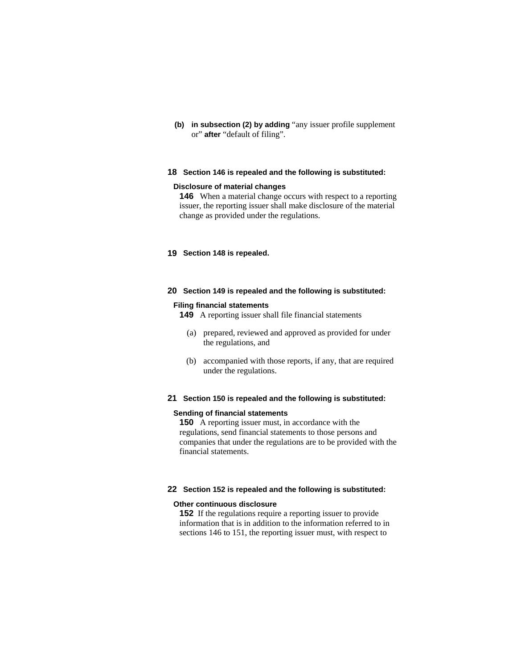**(b) in subsection (2) by adding** "any issuer profile supplement or" **after** "default of filing".

### **18 Section 146 is repealed and the following is substituted:**

#### **Disclosure of material changes**

**146** When a material change occurs with respect to a reporting issuer, the reporting issuer shall make disclosure of the material change as provided under the regulations.

### **19 Section 148 is repealed.**

#### **20 Section 149 is repealed and the following is substituted:**

#### **Filing financial statements**

- **149** A reporting issuer shall file financial statements
	- (a) prepared, reviewed and approved as provided for under the regulations, and
	- (b) accompanied with those reports, if any, that are required under the regulations.

### **21 Section 150 is repealed and the following is substituted:**

#### **Sending of financial statements**

**150** A reporting issuer must, in accordance with the regulations, send financial statements to those persons and companies that under the regulations are to be provided with the financial statements.

#### **22 Section 152 is repealed and the following is substituted:**

#### **Other continuous disclosure**

**152** If the regulations require a reporting issuer to provide information that is in addition to the information referred to in sections 146 to 151, the reporting issuer must, with respect to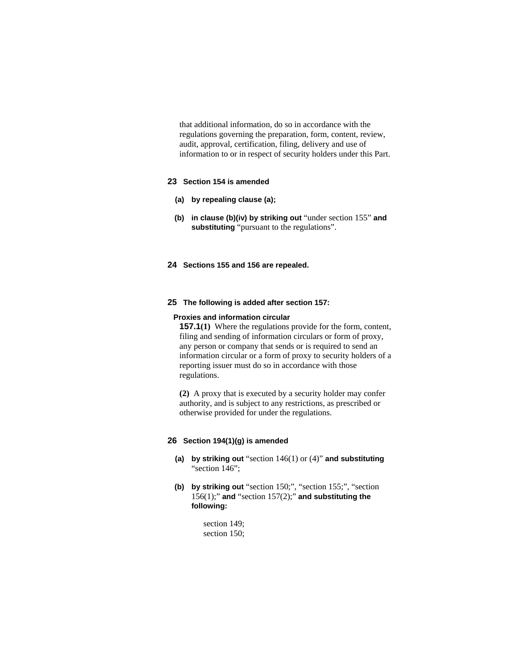that additional information, do so in accordance with the regulations governing the preparation, form, content, review, audit, approval, certification, filing, delivery and use of information to or in respect of security holders under this Part.

### **23 Section 154 is amended**

- **(a) by repealing clause (a);**
- **(b) in clause (b)(iv) by striking out** "under section 155" **and substituting** "pursuant to the regulations".
- **24 Sections 155 and 156 are repealed.**

### **25 The following is added after section 157:**

#### **Proxies and information circular**

**157.1(1)** Where the regulations provide for the form, content, filing and sending of information circulars or form of proxy, any person or company that sends or is required to send an information circular or a form of proxy to security holders of a reporting issuer must do so in accordance with those regulations.

**(2)** A proxy that is executed by a security holder may confer authority, and is subject to any restrictions, as prescribed or otherwise provided for under the regulations.

### **26 Section 194(1)(g) is amended**

- **(a) by striking out** "section 146(1) or (4)" **and substituting**  "section 146";
- **(b) by striking out** "section 150;", "section 155;", "section 156(1);" **and** "section 157(2);" **and substituting the following:** 
	- section 149; section 150;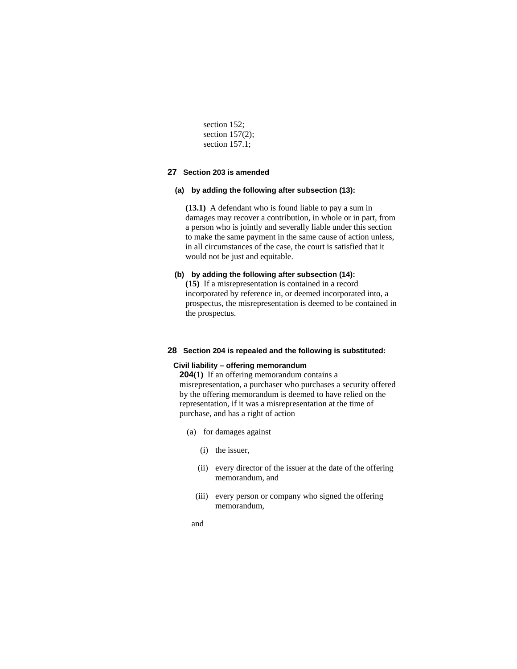section 152; section 157(2); section 157.1;

### **27 Section 203 is amended**

### **(a) by adding the following after subsection (13):**

**(13.1)** A defendant who is found liable to pay a sum in damages may recover a contribution, in whole or in part, from a person who is jointly and severally liable under this section to make the same payment in the same cause of action unless, in all circumstances of the case, the court is satisfied that it would not be just and equitable.

### **(b) by adding the following after subsection (14):**

**(15)** If a misrepresentation is contained in a record incorporated by reference in, or deemed incorporated into, a prospectus, the misrepresentation is deemed to be contained in the prospectus.

#### **28 Section 204 is repealed and the following is substituted:**

#### **Civil liability – offering memorandum**

**204(1)** If an offering memorandum contains a misrepresentation, a purchaser who purchases a security offered by the offering memorandum is deemed to have relied on the representation, if it was a misrepresentation at the time of purchase, and has a right of action

- (a) for damages against
	- (i) the issuer,
	- (ii) every director of the issuer at the date of the offering memorandum, and
	- (iii) every person or company who signed the offering memorandum,
- and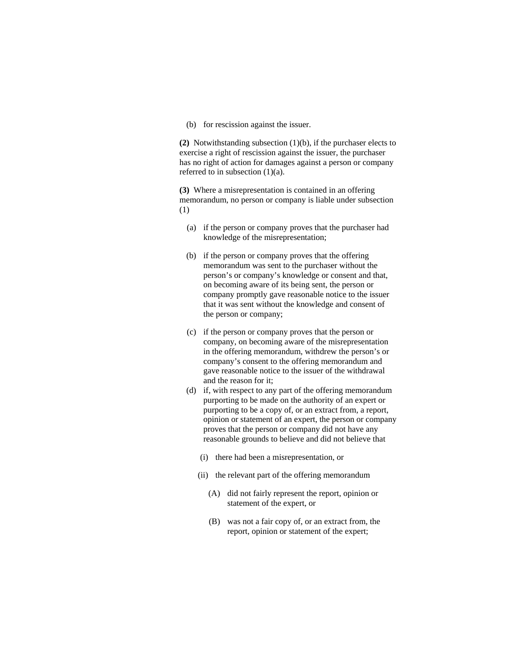(b) for rescission against the issuer.

**(2)** Notwithstanding subsection (1)(b), if the purchaser elects to exercise a right of rescission against the issuer, the purchaser has no right of action for damages against a person or company referred to in subsection (1)(a).

**(3)** Where a misrepresentation is contained in an offering memorandum, no person or company is liable under subsection (1)

- (a) if the person or company proves that the purchaser had knowledge of the misrepresentation;
- (b) if the person or company proves that the offering memorandum was sent to the purchaser without the person's or company's knowledge or consent and that, on becoming aware of its being sent, the person or company promptly gave reasonable notice to the issuer that it was sent without the knowledge and consent of the person or company;
- (c) if the person or company proves that the person or company, on becoming aware of the misrepresentation in the offering memorandum, withdrew the person's or company's consent to the offering memorandum and gave reasonable notice to the issuer of the withdrawal and the reason for it;
- (d) if, with respect to any part of the offering memorandum purporting to be made on the authority of an expert or purporting to be a copy of, or an extract from, a report, opinion or statement of an expert, the person or company proves that the person or company did not have any reasonable grounds to believe and did not believe that
	- (i) there had been a misrepresentation, or
	- (ii) the relevant part of the offering memorandum
		- (A) did not fairly represent the report, opinion or statement of the expert, or
		- (B) was not a fair copy of, or an extract from, the report, opinion or statement of the expert;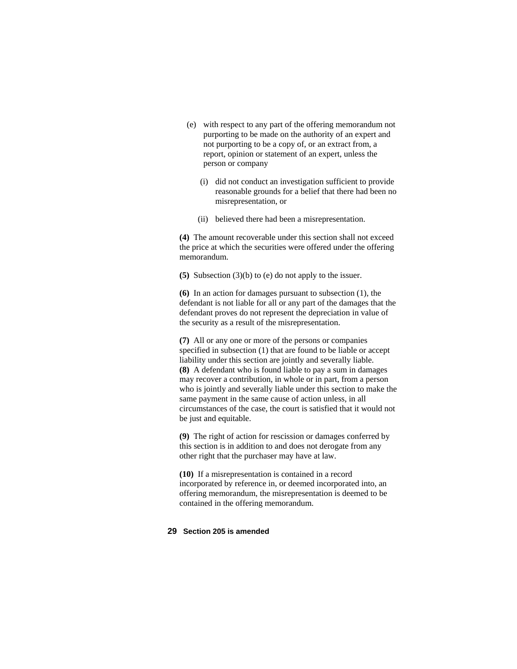- (e) with respect to any part of the offering memorandum not purporting to be made on the authority of an expert and not purporting to be a copy of, or an extract from, a report, opinion or statement of an expert, unless the person or company
	- (i) did not conduct an investigation sufficient to provide reasonable grounds for a belief that there had been no misrepresentation, or
	- (ii) believed there had been a misrepresentation.

**(4)** The amount recoverable under this section shall not exceed the price at which the securities were offered under the offering memorandum.

**(5)** Subsection (3)(b) to (e) do not apply to the issuer.

**(6)** In an action for damages pursuant to subsection (1), the defendant is not liable for all or any part of the damages that the defendant proves do not represent the depreciation in value of the security as a result of the misrepresentation.

**(7)** All or any one or more of the persons or companies specified in subsection (1) that are found to be liable or accept liability under this section are jointly and severally liable. **(8)** A defendant who is found liable to pay a sum in damages may recover a contribution, in whole or in part, from a person who is jointly and severally liable under this section to make the same payment in the same cause of action unless, in all circumstances of the case, the court is satisfied that it would not be just and equitable.

**(9)** The right of action for rescission or damages conferred by this section is in addition to and does not derogate from any other right that the purchaser may have at law.

**(10)** If a misrepresentation is contained in a record incorporated by reference in, or deemed incorporated into, an offering memorandum, the misrepresentation is deemed to be contained in the offering memorandum.

#### **29 Section 205 is amended**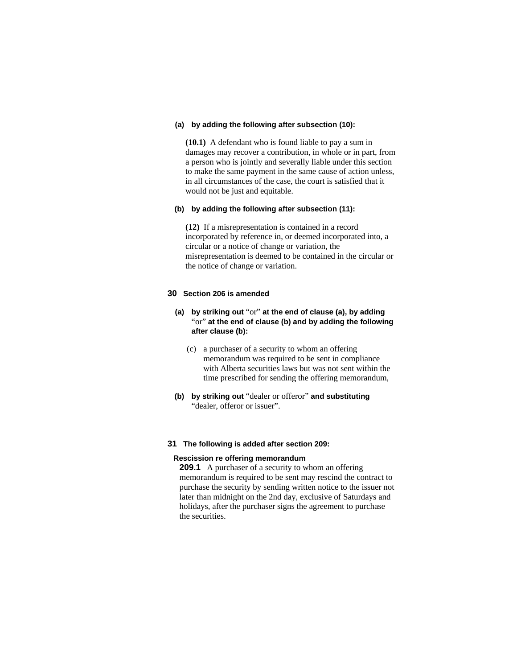#### **(a) by adding the following after subsection (10):**

**(10.1)** A defendant who is found liable to pay a sum in damages may recover a contribution, in whole or in part, from a person who is jointly and severally liable under this section to make the same payment in the same cause of action unless, in all circumstances of the case, the court is satisfied that it would not be just and equitable.

#### **(b) by adding the following after subsection (11):**

**(12)** If a misrepresentation is contained in a record incorporated by reference in, or deemed incorporated into, a circular or a notice of change or variation, the misrepresentation is deemed to be contained in the circular or the notice of change or variation.

### **30 Section 206 is amended**

### **(a) by striking out** "or" **at the end of clause (a), by adding**  "or" **at the end of clause (b) and by adding the following after clause (b):**

- (c) a purchaser of a security to whom an offering memorandum was required to be sent in compliance with Alberta securities laws but was not sent within the time prescribed for sending the offering memorandum,
- **(b) by striking out** "dealer or offeror" **and substituting**  "dealer, offeror or issuer".

#### **31 The following is added after section 209:**

#### **Rescission re offering memorandum**

**209.1** A purchaser of a security to whom an offering memorandum is required to be sent may rescind the contract to purchase the security by sending written notice to the issuer not later than midnight on the 2nd day, exclusive of Saturdays and holidays, after the purchaser signs the agreement to purchase the securities.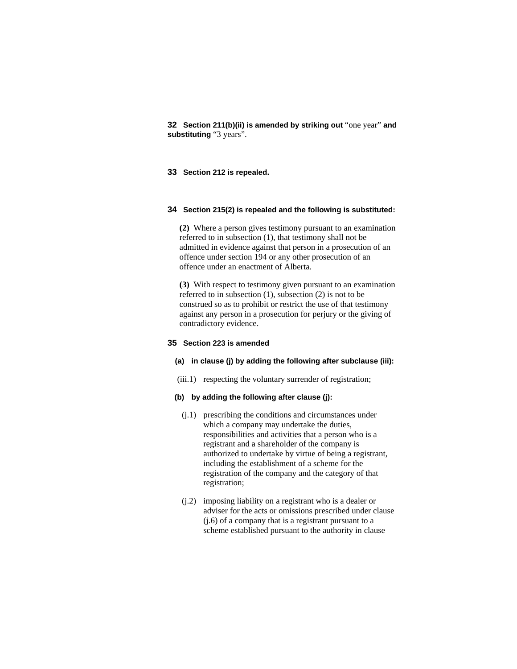**32 Section 211(b)(ii) is amended by striking out** "one year" **and substituting** "3 years".

### **33 Section 212 is repealed.**

### **34 Section 215(2) is repealed and the following is substituted:**

**(2)** Where a person gives testimony pursuant to an examination referred to in subsection (1), that testimony shall not be admitted in evidence against that person in a prosecution of an offence under section 194 or any other prosecution of an offence under an enactment of Alberta.

**(3)** With respect to testimony given pursuant to an examination referred to in subsection (1), subsection (2) is not to be construed so as to prohibit or restrict the use of that testimony against any person in a prosecution for perjury or the giving of contradictory evidence.

### **35 Section 223 is amended**

#### **(a) in clause (j) by adding the following after subclause (iii):**

(iii.1) respecting the voluntary surrender of registration;

### **(b) by adding the following after clause (j):**

- (j.1) prescribing the conditions and circumstances under which a company may undertake the duties, responsibilities and activities that a person who is a registrant and a shareholder of the company is authorized to undertake by virtue of being a registrant, including the establishment of a scheme for the registration of the company and the category of that registration;
- (j.2) imposing liability on a registrant who is a dealer or adviser for the acts or omissions prescribed under clause (j.6) of a company that is a registrant pursuant to a scheme established pursuant to the authority in clause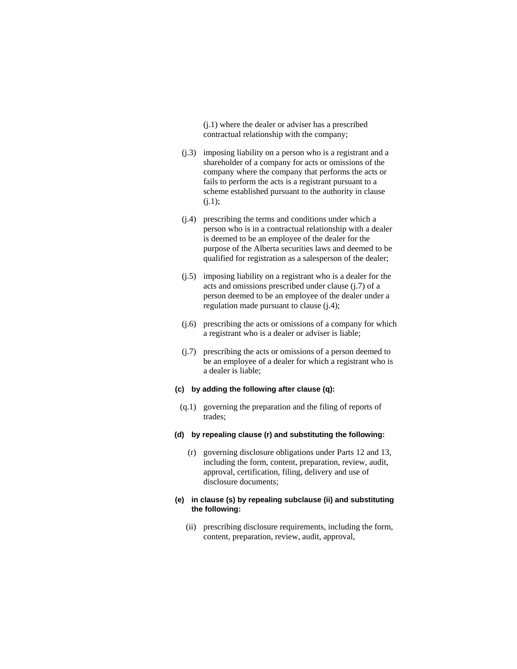(j.1) where the dealer or adviser has a prescribed contractual relationship with the company;

- (j.3) imposing liability on a person who is a registrant and a shareholder of a company for acts or omissions of the company where the company that performs the acts or fails to perform the acts is a registrant pursuant to a scheme established pursuant to the authority in clause  $(i.1);$
- (j.4) prescribing the terms and conditions under which a person who is in a contractual relationship with a dealer is deemed to be an employee of the dealer for the purpose of the Alberta securities laws and deemed to be qualified for registration as a salesperson of the dealer;
- (j.5) imposing liability on a registrant who is a dealer for the acts and omissions prescribed under clause (j.7) of a person deemed to be an employee of the dealer under a regulation made pursuant to clause (j.4);
- (j.6) prescribing the acts or omissions of a company for which a registrant who is a dealer or adviser is liable;
- (j.7) prescribing the acts or omissions of a person deemed to be an employee of a dealer for which a registrant who is a dealer is liable;

### **(c) by adding the following after clause (q):**

- (q.1) governing the preparation and the filing of reports of trades;
- **(d) by repealing clause (r) and substituting the following:**
	- (r) governing disclosure obligations under Parts 12 and 13, including the form, content, preparation, review, audit, approval, certification, filing, delivery and use of disclosure documents;

### **(e) in clause (s) by repealing subclause (ii) and substituting the following:**

 (ii) prescribing disclosure requirements, including the form, content, preparation, review, audit, approval,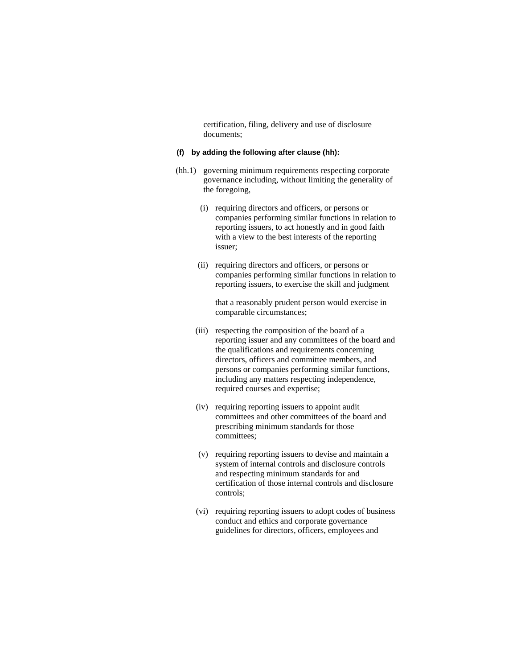certification, filing, delivery and use of disclosure documents;

### **(f) by adding the following after clause (hh):**

- (hh.1) governing minimum requirements respecting corporate governance including, without limiting the generality of the foregoing,
	- (i) requiring directors and officers, or persons or companies performing similar functions in relation to reporting issuers, to act honestly and in good faith with a view to the best interests of the reporting issuer;
	- (ii) requiring directors and officers, or persons or companies performing similar functions in relation to reporting issuers, to exercise the skill and judgment

 that a reasonably prudent person would exercise in comparable circumstances;

- (iii) respecting the composition of the board of a reporting issuer and any committees of the board and the qualifications and requirements concerning directors, officers and committee members, and persons or companies performing similar functions, including any matters respecting independence, required courses and expertise;
- (iv) requiring reporting issuers to appoint audit committees and other committees of the board and prescribing minimum standards for those committees;
- (v) requiring reporting issuers to devise and maintain a system of internal controls and disclosure controls and respecting minimum standards for and certification of those internal controls and disclosure controls;
- (vi) requiring reporting issuers to adopt codes of business conduct and ethics and corporate governance guidelines for directors, officers, employees and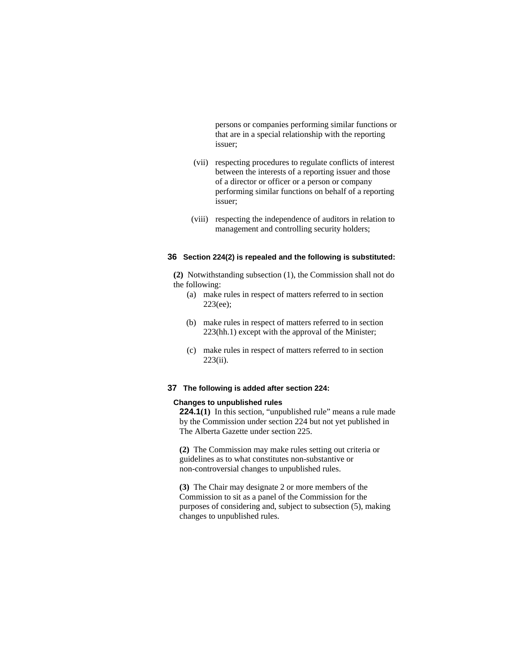persons or companies performing similar functions or that are in a special relationship with the reporting issuer;

- (vii) respecting procedures to regulate conflicts of interest between the interests of a reporting issuer and those of a director or officer or a person or company performing similar functions on behalf of a reporting issuer;
- (viii) respecting the independence of auditors in relation to management and controlling security holders;

### **36 Section 224(2) is repealed and the following is substituted:**

**(2)** Notwithstanding subsection (1), the Commission shall not do the following:

- (a) make rules in respect of matters referred to in section 223(ee);
- (b) make rules in respect of matters referred to in section 223(hh.1) except with the approval of the Minister;
- (c) make rules in respect of matters referred to in section 223(ii).

#### **37 The following is added after section 224:**

#### **Changes to unpublished rules**

**224.1**(1) In this section, "unpublished rule" means a rule made by the Commission under section 224 but not yet published in The Alberta Gazette under section 225.

**(2)** The Commission may make rules setting out criteria or guidelines as to what constitutes non-substantive or non-controversial changes to unpublished rules.

**(3)** The Chair may designate 2 or more members of the Commission to sit as a panel of the Commission for the purposes of considering and, subject to subsection (5), making changes to unpublished rules.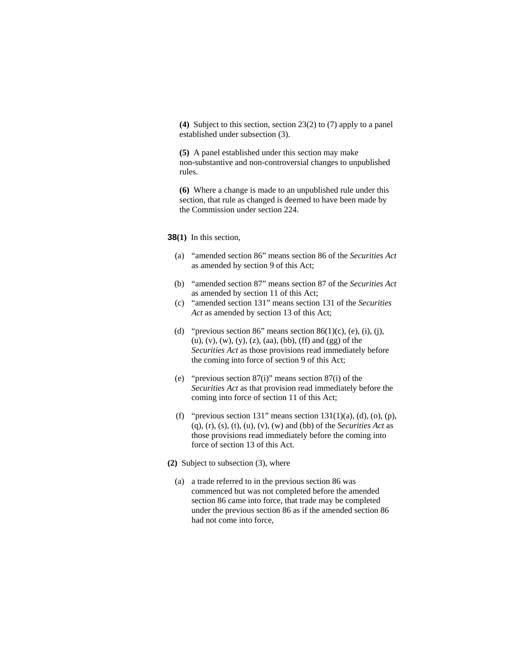**(4)** Subject to this section, section 23(2) to (7) apply to a panel established under subsection (3).

**(5)** A panel established under this section may make non-substantive and non-controversial changes to unpublished rules.

**(6)** Where a change is made to an unpublished rule under this section, that rule as changed is deemed to have been made by the Commission under section 224.

### **38(1)** In this section,

- (a) "amended section 86" means section 86 of the *Securities Act* as amended by section 9 of this Act;
- (b) "amended section 87" means section 87 of the *Securities Act* as amended by section 11 of this Act;
- (c) "amended section 131" means section 131 of the *Securities Act* as amended by section 13 of this Act;
- (d) "previous section 86" means section 86(1)(c), (e), (i), (j), (u), (v), (w), (y), (z), (aa), (bb), (ff) and (gg) of the *Securities Act* as those provisions read immediately before the coming into force of section 9 of this Act;
- (e) "previous section 87(i)" means section 87(i) of the *Securities Act* as that provision read immediately before the coming into force of section 11 of this Act;
- (f) "previous section 131" means section  $131(1)(a)$ , (d), (o), (p), (q), (r), (s), (t), (u), (v), (w) and (bb) of the *Securities Act* as those provisions read immediately before the coming into force of section 13 of this Act.
- **(2)** Subject to subsection (3), where
	- (a) a trade referred to in the previous section 86 was commenced but was not completed before the amended section 86 came into force, that trade may be completed under the previous section 86 as if the amended section 86 had not come into force,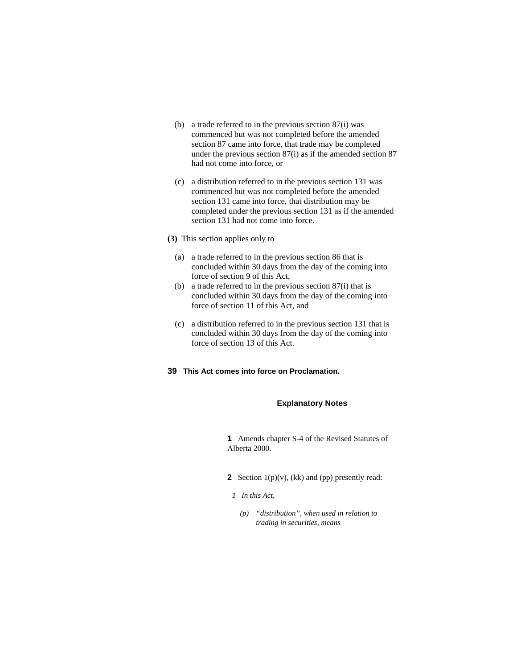- (b) a trade referred to in the previous section 87(i) was commenced but was not completed before the amended section 87 came into force, that trade may be completed under the previous section 87(i) as if the amended section 87 had not come into force, or
- (c) a distribution referred to in the previous section 131 was commenced but was not completed before the amended section 131 came into force, that distribution may be completed under the previous section 131 as if the amended section 131 had not come into force.
- **(3)** This section applies only to
	- (a) a trade referred to in the previous section 86 that is concluded within 30 days from the day of the coming into force of section 9 of this Act,
	- (b) a trade referred to in the previous section 87(i) that is concluded within 30 days from the day of the coming into force of section 11 of this Act, and
	- (c) a distribution referred to in the previous section 131 that is concluded within 30 days from the day of the coming into force of section 13 of this Act.
- **39 This Act comes into force on Proclamation.**

### **Explanatory Notes**

**1** Amends chapter S-4 of the Revised Statutes of Alberta 2000.

- **2** Section  $1(p)(v)$ , (kk) and (pp) presently read:
- *1 In this Act,* 
	- *(p) "distribution", when used in relation to trading in securities, means*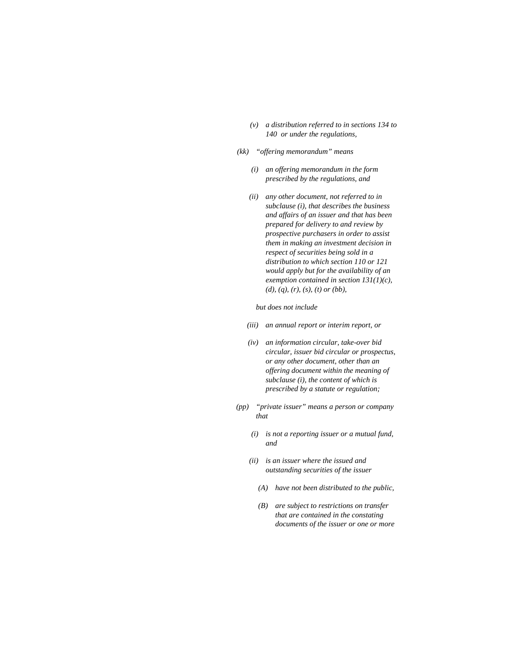- *(v) a distribution referred to in sections 134 to 140 or under the regulations,*
- *(kk) "offering memorandum" means* 
	- *(i) an offering memorandum in the form prescribed by the regulations, and*
	- *(ii) any other document, not referred to in subclause (i), that describes the business and affairs of an issuer and that has been prepared for delivery to and review by prospective purchasers in order to assist them in making an investment decision in respect of securities being sold in a distribution to which section 110 or 121 would apply but for the availability of an exemption contained in section 131(1)(c), (d), (q), (r), (s), (t) or (bb),*

 *but does not include* 

- *(iii) an annual report or interim report, or*
- *(iv) an information circular, take-over bid circular, issuer bid circular or prospectus, or any other document, other than an offering document within the meaning of subclause (i), the content of which is prescribed by a statute or regulation;*
- *(pp) "private issuer" means a person or company that* 
	- *(i) is not a reporting issuer or a mutual fund, and*
	- *(ii) is an issuer where the issued and outstanding securities of the issuer* 
		- *(A) have not been distributed to the public,*
		- *(B) are subject to restrictions on transfer that are contained in the constating documents of the issuer or one or more*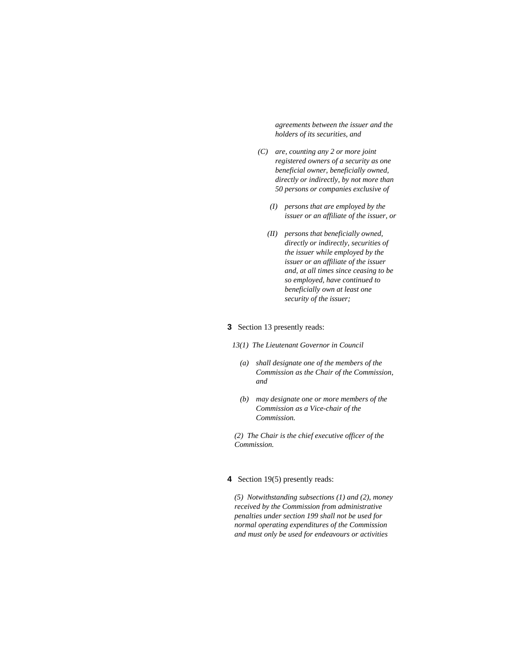*agreements between the issuer and the holders of its securities, and* 

- *(C) are, counting any 2 or more joint registered owners of a security as one beneficial owner, beneficially owned, directly or indirectly, by not more than 50 persons or companies exclusive of* 
	- *(I) persons that are employed by the issuer or an affiliate of the issuer, or*
	- *(II) persons that beneficially owned, directly or indirectly, securities of the issuer while employed by the issuer or an affiliate of the issuer and, at all times since ceasing to be so employed, have continued to beneficially own at least one security of the issuer;*

#### **3** Section 13 presently reads:

- *13(1) The Lieutenant Governor in Council* 
	- *(a) shall designate one of the members of the Commission as the Chair of the Commission, and*
	- *(b) may designate one or more members of the Commission as a Vice-chair of the Commission.*

*(2) The Chair is the chief executive officer of the Commission.* 

### **4** Section 19(5) presently reads:

*(5) Notwithstanding subsections (1) and (2), money received by the Commission from administrative penalties under section 199 shall not be used for normal operating expenditures of the Commission and must only be used for endeavours or activities*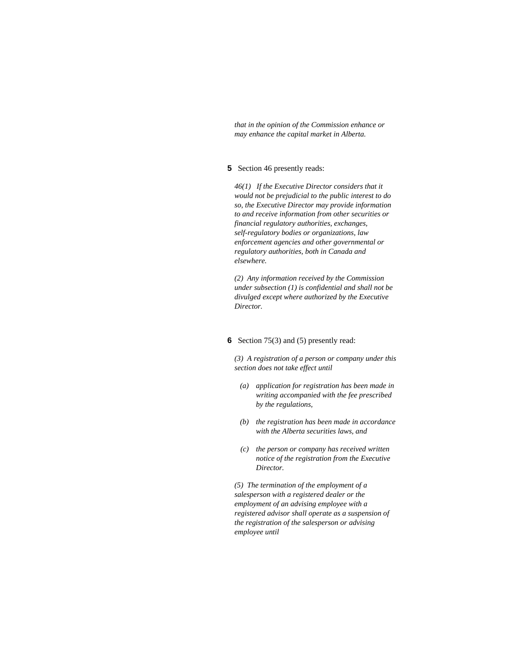*that in the opinion of the Commission enhance or may enhance the capital market in Alberta.* 

### **5** Section 46 presently reads:

*46(1) If the Executive Director considers that it would not be prejudicial to the public interest to do so, the Executive Director may provide information to and receive information from other securities or financial regulatory authorities, exchanges, self-regulatory bodies or organizations, law enforcement agencies and other governmental or regulatory authorities, both in Canada and elsewhere.* 

*(2) Any information received by the Commission under subsection (1) is confidential and shall not be divulged except where authorized by the Executive Director.* 

#### **6** Section 75(3) and (5) presently read:

*(3) A registration of a person or company under this section does not take effect until* 

- *(a) application for registration has been made in writing accompanied with the fee prescribed by the regulations,*
- *(b) the registration has been made in accordance with the Alberta securities laws, and*
- *(c) the person or company has received written notice of the registration from the Executive Director.*

*(5) The termination of the employment of a salesperson with a registered dealer or the employment of an advising employee with a registered advisor shall operate as a suspension of the registration of the salesperson or advising employee until*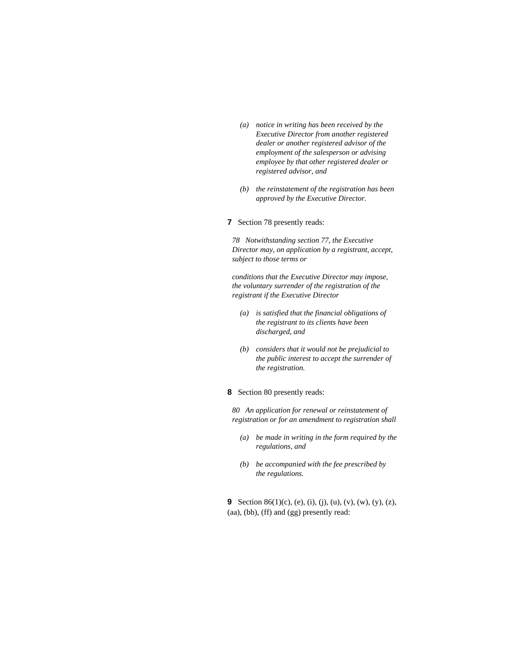- *(a) notice in writing has been received by the Executive Director from another registered dealer or another registered advisor of the employment of the salesperson or advising employee by that other registered dealer or registered advisor, and*
- *(b) the reinstatement of the registration has been approved by the Executive Director.*
- **7** Section 78 presently reads:

*78 Notwithstanding section 77, the Executive Director may, on application by a registrant, accept, subject to those terms or* 

*conditions that the Executive Director may impose, the voluntary surrender of the registration of the registrant if the Executive Director* 

- *(a) is satisfied that the financial obligations of the registrant to its clients have been discharged, and*
- *(b) considers that it would not be prejudicial to the public interest to accept the surrender of the registration.*

#### **8** Section 80 presently reads:

*80 An application for renewal or reinstatement of registration or for an amendment to registration shall* 

- *(a) be made in writing in the form required by the regulations, and*
- *(b) be accompanied with the fee prescribed by the regulations.*

**9** Section 86(1)(c), (e), (i), (j), (u), (v), (w), (y), (z), (aa), (bb), (ff) and (gg) presently read: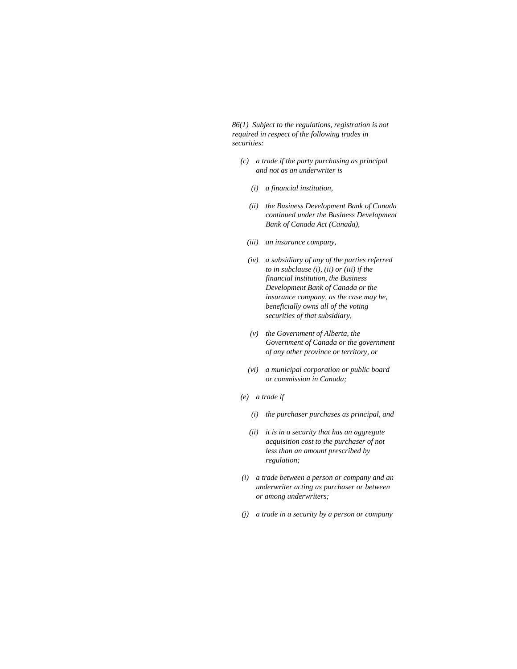*86(1) Subject to the regulations, registration is not required in respect of the following trades in securities:* 

- *(c) a trade if the party purchasing as principal and not as an underwriter is* 
	- *(i) a financial institution,*
	- *(ii) the Business Development Bank of Canada continued under the Business Development Bank of Canada Act (Canada),*
	- *(iii) an insurance company,*
	- *(iv) a subsidiary of any of the parties referred to in subclause (i), (ii) or (iii) if the financial institution, the Business Development Bank of Canada or the insurance company, as the case may be, beneficially owns all of the voting securities of that subsidiary,*
	- *(v) the Government of Alberta, the Government of Canada or the government of any other province or territory, or*
	- *(vi) a municipal corporation or public board or commission in Canada;*
- *(e) a trade if* 
	- *(i) the purchaser purchases as principal, and*
	- *(ii) it is in a security that has an aggregate acquisition cost to the purchaser of not less than an amount prescribed by regulation;*
- *(i) a trade between a person or company and an underwriter acting as purchaser or between or among underwriters;*
- *(j) a trade in a security by a person or company*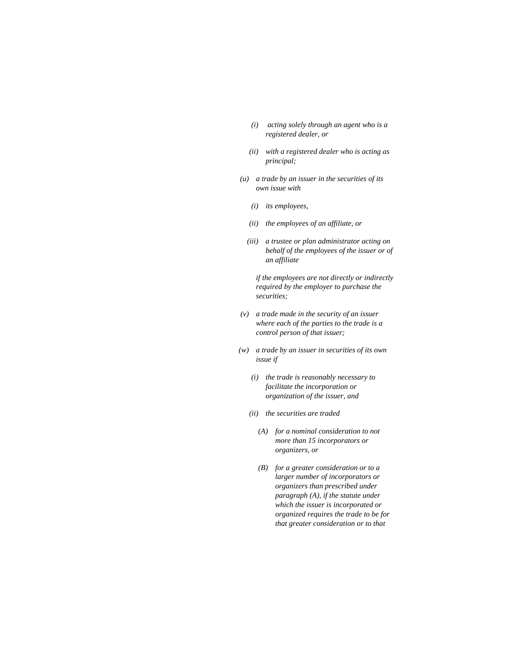- *(i) acting solely through an agent who is a registered dealer, or*
- *(ii) with a registered dealer who is acting as principal;*
- *(u) a trade by an issuer in the securities of its own issue with* 
	- *(i) its employees,*
	- *(ii) the employees of an affiliate, or*
	- *(iii) a trustee or plan administrator acting on behalf of the employees of the issuer or of an affiliate*

 *if the employees are not directly or indirectly required by the employer to purchase the securities;* 

- *(v) a trade made in the security of an issuer where each of the parties to the trade is a control person of that issuer;*
- *(w) a trade by an issuer in securities of its own issue if* 
	- *(i) the trade is reasonably necessary to facilitate the incorporation or organization of the issuer, and*
	- *(ii) the securities are traded* 
		- *(A) for a nominal consideration to not more than 15 incorporators or organizers, or*
		- *(B) for a greater consideration or to a larger number of incorporators or organizers than prescribed under paragraph (A), if the statute under which the issuer is incorporated or organized requires the trade to be for that greater consideration or to that*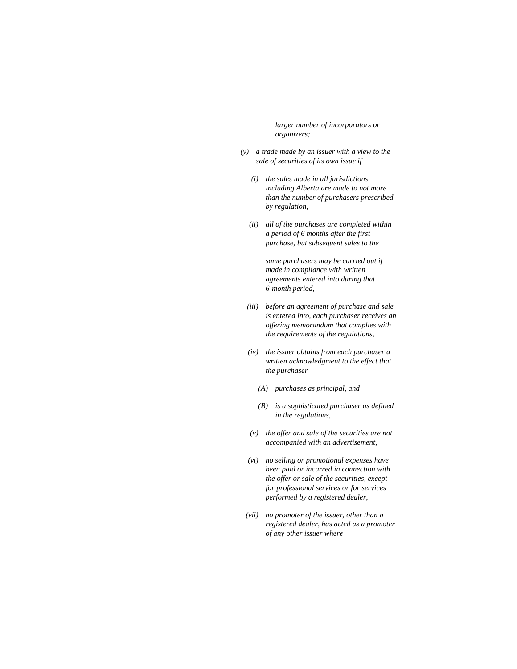*larger number of incorporators or organizers;* 

- *(y) a trade made by an issuer with a view to the sale of securities of its own issue if* 
	- *(i) the sales made in all jurisdictions including Alberta are made to not more than the number of purchasers prescribed by regulation,*
	- *(ii) all of the purchases are completed within a period of 6 months after the first purchase, but subsequent sales to the*

 *same purchasers may be carried out if made in compliance with written agreements entered into during that 6-month period,* 

- *(iii) before an agreement of purchase and sale is entered into, each purchaser receives an offering memorandum that complies with the requirements of the regulations,*
- *(iv) the issuer obtains from each purchaser a written acknowledgment to the effect that the purchaser* 
	- *(A) purchases as principal, and*
	- *(B) is a sophisticated purchaser as defined in the regulations,*
- *(v) the offer and sale of the securities are not accompanied with an advertisement,*
- *(vi) no selling or promotional expenses have been paid or incurred in connection with the offer or sale of the securities, except for professional services or for services performed by a registered dealer,*
- *(vii) no promoter of the issuer, other than a registered dealer, has acted as a promoter of any other issuer where*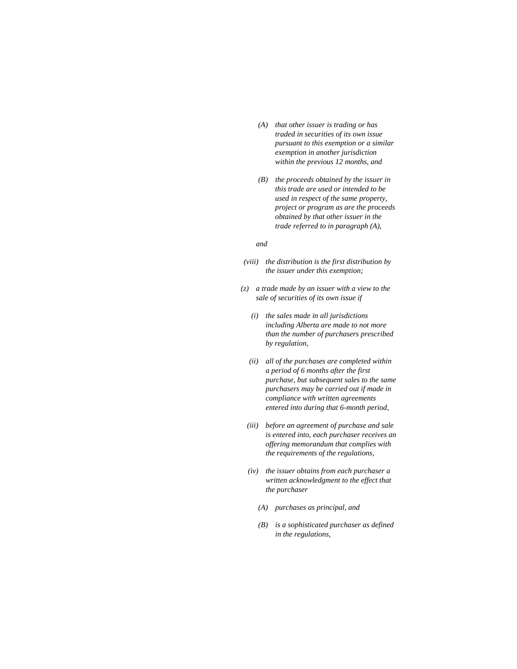- *(A) that other issuer is trading or has traded in securities of its own issue pursuant to this exemption or a similar exemption in another jurisdiction within the previous 12 months, and*
- *(B) the proceeds obtained by the issuer in this trade are used or intended to be used in respect of the same property, project or program as are the proceeds obtained by that other issuer in the trade referred to in paragraph (A),*

#### *and*

- *(viii) the distribution is the first distribution by the issuer under this exemption;*
- *(z) a trade made by an issuer with a view to the sale of securities of its own issue if* 
	- *(i) the sales made in all jurisdictions including Alberta are made to not more than the number of purchasers prescribed by regulation,*
	- *(ii) all of the purchases are completed within a period of 6 months after the first purchase, but subsequent sales to the same purchasers may be carried out if made in compliance with written agreements entered into during that 6-month period,*
	- *(iii) before an agreement of purchase and sale is entered into, each purchaser receives an offering memorandum that complies with the requirements of the regulations,*
	- *(iv) the issuer obtains from each purchaser a written acknowledgment to the effect that the purchaser* 
		- *(A) purchases as principal, and*
		- *(B) is a sophisticated purchaser as defined in the regulations,*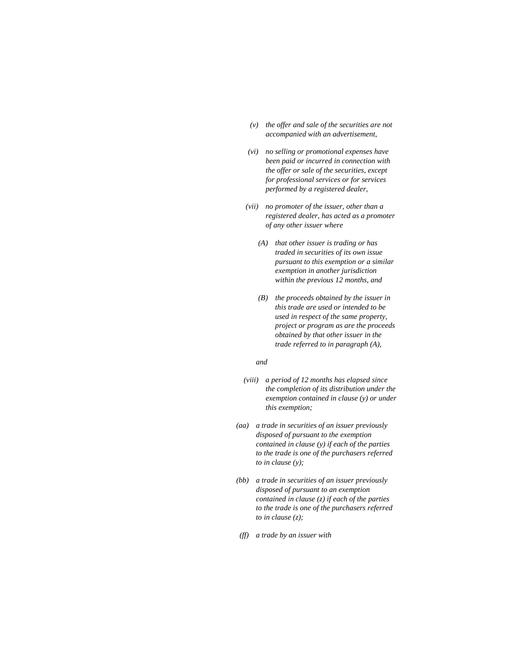- *(v) the offer and sale of the securities are not accompanied with an advertisement,*
- *(vi) no selling or promotional expenses have been paid or incurred in connection with the offer or sale of the securities, except for professional services or for services performed by a registered dealer,*
- *(vii) no promoter of the issuer, other than a registered dealer, has acted as a promoter of any other issuer where* 
	- *(A) that other issuer is trading or has traded in securities of its own issue pursuant to this exemption or a similar exemption in another jurisdiction within the previous 12 months, and*
	- *(B) the proceeds obtained by the issuer in this trade are used or intended to be used in respect of the same property, project or program as are the proceeds obtained by that other issuer in the trade referred to in paragraph (A),*

#### *and*

- *(viii) a period of 12 months has elapsed since the completion of its distribution under the exemption contained in clause (y) or under this exemption;*
- *(aa) a trade in securities of an issuer previously disposed of pursuant to the exemption contained in clause (y) if each of the parties to the trade is one of the purchasers referred to in clause (y);*
- *(bb) a trade in securities of an issuer previously disposed of pursuant to an exemption contained in clause (z) if each of the parties to the trade is one of the purchasers referred to in clause (z);*
- *(ff) a trade by an issuer with*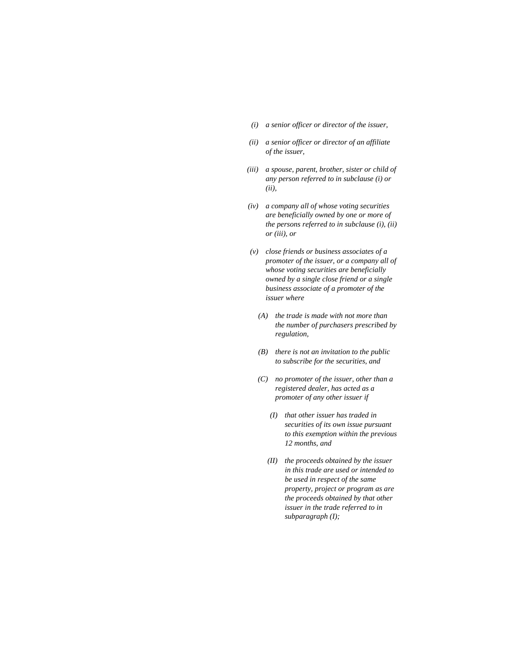- *(i) a senior officer or director of the issuer,*
- *(ii) a senior officer or director of an affiliate of the issuer,*
- *(iii) a spouse, parent, brother, sister or child of any person referred to in subclause (i) or (ii),*
- *(iv) a company all of whose voting securities are beneficially owned by one or more of the persons referred to in subclause (i), (ii) or (iii), or*
- *(v) close friends or business associates of a promoter of the issuer, or a company all of whose voting securities are beneficially owned by a single close friend or a single business associate of a promoter of the issuer where* 
	- *(A) the trade is made with not more than the number of purchasers prescribed by regulation,*
	- *(B) there is not an invitation to the public to subscribe for the securities, and*
	- *(C) no promoter of the issuer, other than a registered dealer, has acted as a promoter of any other issuer if* 
		- *(I) that other issuer has traded in securities of its own issue pursuant to this exemption within the previous 12 months, and*
		- *(II) the proceeds obtained by the issuer in this trade are used or intended to be used in respect of the same property, project or program as are the proceeds obtained by that other issuer in the trade referred to in subparagraph (I);*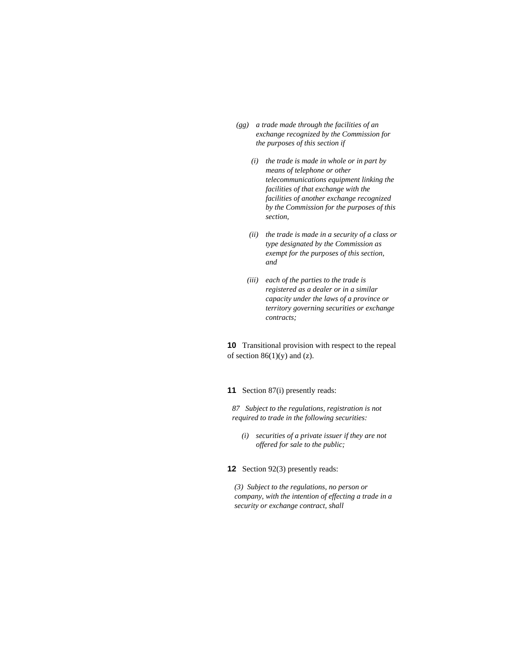- *(gg) a trade made through the facilities of an exchange recognized by the Commission for the purposes of this section if* 
	- *(i) the trade is made in whole or in part by means of telephone or other telecommunications equipment linking the facilities of that exchange with the facilities of another exchange recognized by the Commission for the purposes of this section,*
	- *(ii) the trade is made in a security of a class or type designated by the Commission as exempt for the purposes of this section, and*
	- *(iii) each of the parties to the trade is registered as a dealer or in a similar capacity under the laws of a province or territory governing securities or exchange contracts;*

**10** Transitional provision with respect to the repeal of section  $86(1)(y)$  and (z).

**11** Section 87(i) presently reads:

*87 Subject to the regulations, registration is not required to trade in the following securities:* 

- *(i) securities of a private issuer if they are not offered for sale to the public;*
- **12** Section 92(3) presently reads:

*(3) Subject to the regulations, no person or company, with the intention of effecting a trade in a security or exchange contract, shall*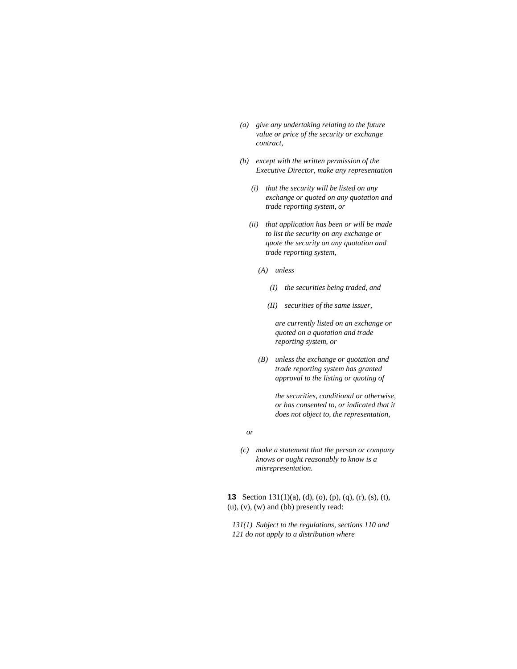- *(a) give any undertaking relating to the future value or price of the security or exchange contract,*
- *(b) except with the written permission of the Executive Director, make any representation* 
	- *(i) that the security will be listed on any exchange or quoted on any quotation and trade reporting system, or*
	- *(ii) that application has been or will be made to list the security on any exchange or quote the security on any quotation and trade reporting system,* 
		- *(A) unless* 
			- *(I) the securities being traded, and*
			- *(II) securities of the same issuer,*

 *are currently listed on an exchange or quoted on a quotation and trade reporting system, or* 

 *(B) unless the exchange or quotation and trade reporting system has granted approval to the listing or quoting of* 

> *the securities, conditional or otherwise, or has consented to, or indicated that it does not object to, the representation,*

- *or*
- *(c) make a statement that the person or company knows or ought reasonably to know is a misrepresentation.*

**13** Section 131(1)(a), (d), (o), (p), (q), (r), (s), (t),  $(u)$ ,  $(v)$ ,  $(w)$  and  $(bb)$  presently read:

*131(1) Subject to the regulations, sections 110 and 121 do not apply to a distribution where*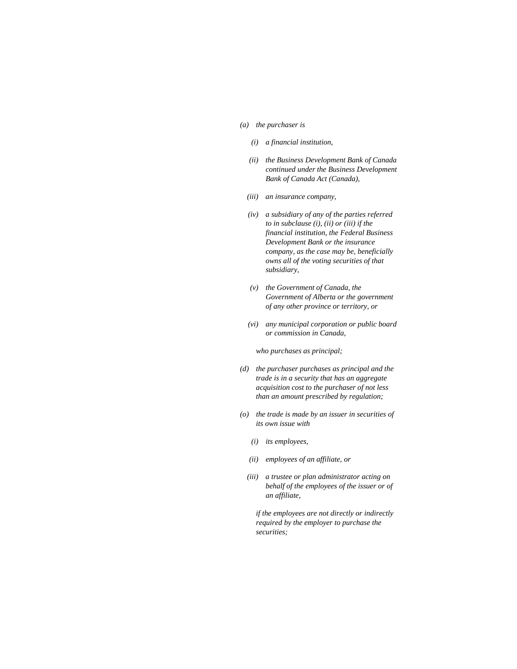#### *(a) the purchaser is*

- *(i) a financial institution,*
- *(ii) the Business Development Bank of Canada continued under the Business Development Bank of Canada Act (Canada),*
- *(iii) an insurance company,*
- *(iv) a subsidiary of any of the parties referred to in subclause (i), (ii) or (iii) if the financial institution, the Federal Business Development Bank or the insurance company, as the case may be, beneficially owns all of the voting securities of that subsidiary,*
- *(v) the Government of Canada, the Government of Alberta or the government of any other province or territory, or*
- *(vi) any municipal corporation or public board or commission in Canada,*

 *who purchases as principal;* 

- *(d) the purchaser purchases as principal and the trade is in a security that has an aggregate acquisition cost to the purchaser of not less than an amount prescribed by regulation;*
- *(o) the trade is made by an issuer in securities of its own issue with* 
	- *(i) its employees,*
	- *(ii) employees of an affiliate, or*
	- *(iii) a trustee or plan administrator acting on behalf of the employees of the issuer or of an affiliate,*

 *if the employees are not directly or indirectly required by the employer to purchase the securities;*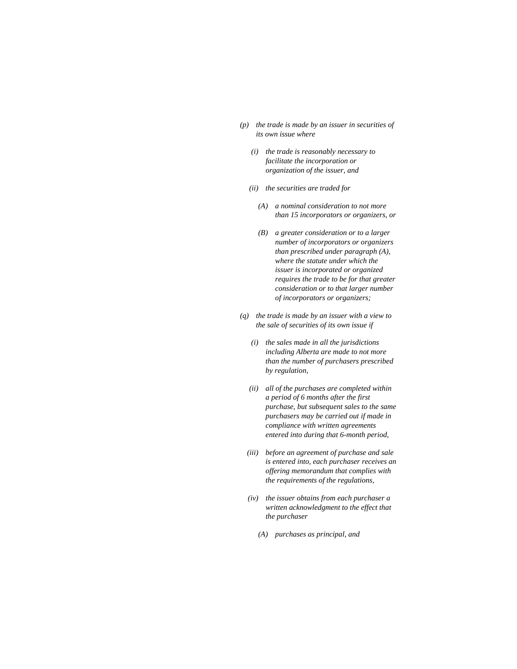- *(p) the trade is made by an issuer in securities of its own issue where* 
	- *(i) the trade is reasonably necessary to facilitate the incorporation or organization of the issuer, and*
	- *(ii) the securities are traded for* 
		- *(A) a nominal consideration to not more than 15 incorporators or organizers, or*
		- *(B) a greater consideration or to a larger number of incorporators or organizers than prescribed under paragraph (A), where the statute under which the issuer is incorporated or organized requires the trade to be for that greater consideration or to that larger number of incorporators or organizers;*
- *(q) the trade is made by an issuer with a view to the sale of securities of its own issue if* 
	- *(i) the sales made in all the jurisdictions including Alberta are made to not more than the number of purchasers prescribed by regulation,*
	- *(ii) all of the purchases are completed within a period of 6 months after the first purchase, but subsequent sales to the same purchasers may be carried out if made in compliance with written agreements entered into during that 6-month period,*
	- *(iii) before an agreement of purchase and sale is entered into, each purchaser receives an offering memorandum that complies with the requirements of the regulations,*
	- *(iv) the issuer obtains from each purchaser a written acknowledgment to the effect that the purchaser* 
		- *(A) purchases as principal, and*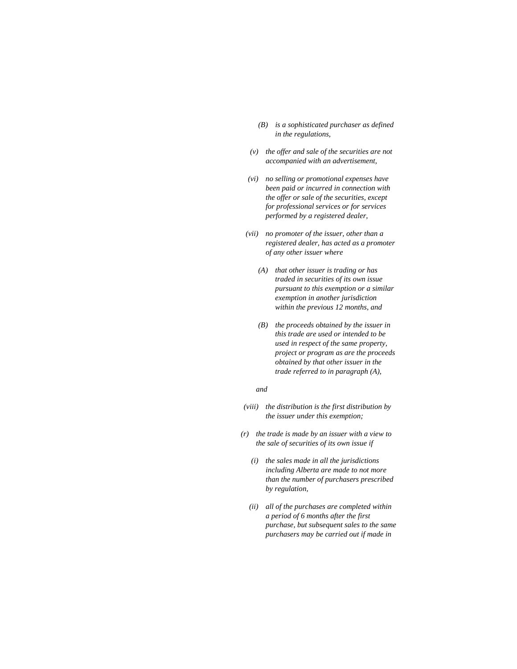- *(B) is a sophisticated purchaser as defined in the regulations,*
- *(v) the offer and sale of the securities are not accompanied with an advertisement,*
- *(vi) no selling or promotional expenses have been paid or incurred in connection with the offer or sale of the securities, except for professional services or for services performed by a registered dealer,*
- *(vii) no promoter of the issuer, other than a registered dealer, has acted as a promoter of any other issuer where* 
	- *(A) that other issuer is trading or has traded in securities of its own issue pursuant to this exemption or a similar exemption in another jurisdiction within the previous 12 months, and*
	- *(B) the proceeds obtained by the issuer in this trade are used or intended to be used in respect of the same property, project or program as are the proceeds obtained by that other issuer in the trade referred to in paragraph (A),*

#### *and*

- *(viii) the distribution is the first distribution by the issuer under this exemption;*
- *(r) the trade is made by an issuer with a view to the sale of securities of its own issue if* 
	- *(i) the sales made in all the jurisdictions including Alberta are made to not more than the number of purchasers prescribed by regulation,*
	- *(ii) all of the purchases are completed within a period of 6 months after the first purchase, but subsequent sales to the same purchasers may be carried out if made in*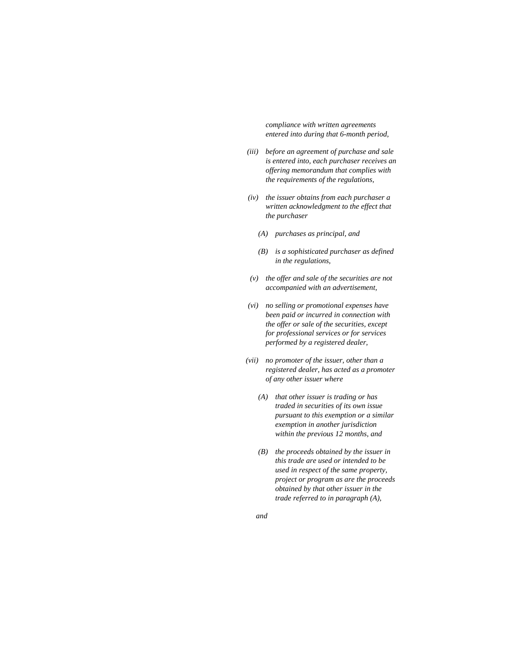*compliance with written agreements entered into during that 6-month period,* 

- *(iii) before an agreement of purchase and sale is entered into, each purchaser receives an offering memorandum that complies with the requirements of the regulations,*
- *(iv) the issuer obtains from each purchaser a written acknowledgment to the effect that the purchaser* 
	- *(A) purchases as principal, and*
	- *(B) is a sophisticated purchaser as defined in the regulations,*
- *(v) the offer and sale of the securities are not accompanied with an advertisement,*
- *(vi) no selling or promotional expenses have been paid or incurred in connection with the offer or sale of the securities, except for professional services or for services performed by a registered dealer,*
- *(vii) no promoter of the issuer, other than a registered dealer, has acted as a promoter of any other issuer where* 
	- *(A) that other issuer is trading or has traded in securities of its own issue pursuant to this exemption or a similar exemption in another jurisdiction within the previous 12 months, and*
	- *(B) the proceeds obtained by the issuer in this trade are used or intended to be used in respect of the same property, project or program as are the proceeds obtained by that other issuer in the trade referred to in paragraph (A),*
	- *and*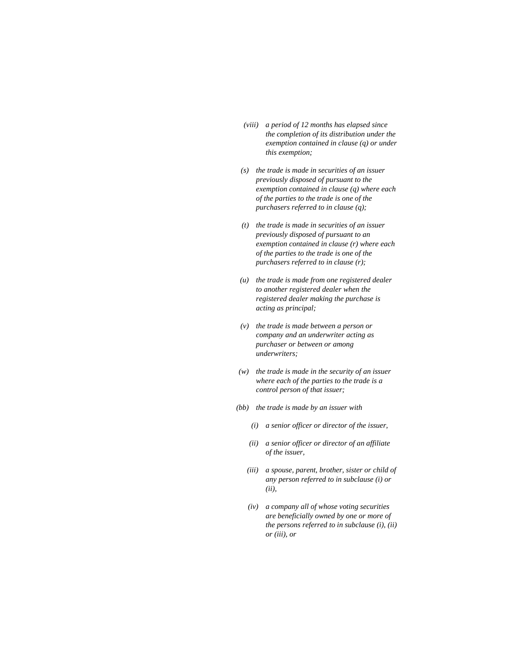- *(viii) a period of 12 months has elapsed since the completion of its distribution under the exemption contained in clause (q) or under this exemption;*
- *(s) the trade is made in securities of an issuer previously disposed of pursuant to the exemption contained in clause (q) where each of the parties to the trade is one of the purchasers referred to in clause (q);*
- *(t) the trade is made in securities of an issuer previously disposed of pursuant to an exemption contained in clause (r) where each of the parties to the trade is one of the purchasers referred to in clause (r);*
- *(u) the trade is made from one registered dealer to another registered dealer when the registered dealer making the purchase is acting as principal;*
- *(v) the trade is made between a person or company and an underwriter acting as purchaser or between or among underwriters;*
- *(w) the trade is made in the security of an issuer where each of the parties to the trade is a control person of that issuer;*
- *(bb) the trade is made by an issuer with* 
	- *(i) a senior officer or director of the issuer,*
	- *(ii) a senior officer or director of an affiliate of the issuer,*
	- *(iii) a spouse, parent, brother, sister or child of any person referred to in subclause (i) or (ii),*
	- *(iv) a company all of whose voting securities are beneficially owned by one or more of the persons referred to in subclause (i), (ii) or (iii), or*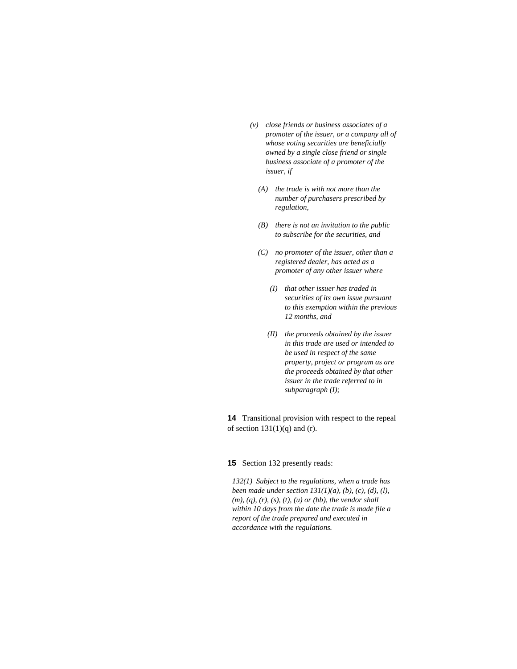- *(v) close friends or business associates of a promoter of the issuer, or a company all of whose voting securities are beneficially owned by a single close friend or single business associate of a promoter of the issuer, if* 
	- *(A) the trade is with not more than the number of purchasers prescribed by regulation,*
	- *(B) there is not an invitation to the public to subscribe for the securities, and*
	- *(C) no promoter of the issuer, other than a registered dealer, has acted as a promoter of any other issuer where* 
		- *(I) that other issuer has traded in securities of its own issue pursuant to this exemption within the previous 12 months, and*
		- *(II) the proceeds obtained by the issuer in this trade are used or intended to be used in respect of the same property, project or program as are the proceeds obtained by that other issuer in the trade referred to in subparagraph (I);*

**14** Transitional provision with respect to the repeal of section  $131(1)(q)$  and (r).

**15** Section 132 presently reads:

*132(1) Subject to the regulations, when a trade has been made under section 131(1)(a), (b), (c), (d), (l), (m), (q), (r), (s), (t), (u) or (bb), the vendor shall within 10 days from the date the trade is made file a report of the trade prepared and executed in accordance with the regulations.*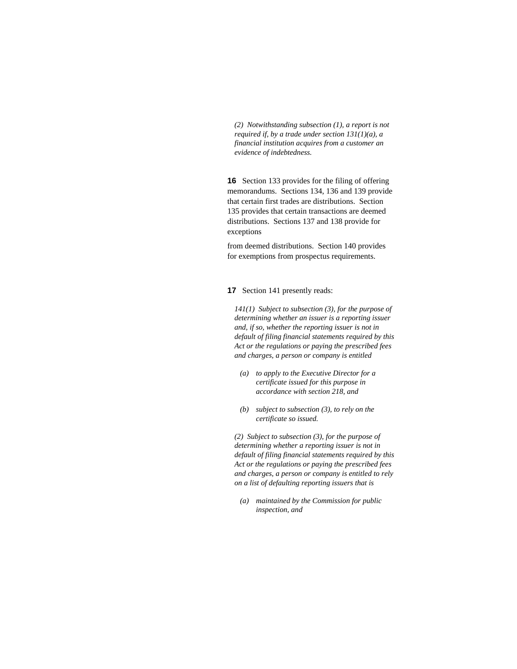*(2) Notwithstanding subsection (1), a report is not required if, by a trade under section 131(1)(a), a financial institution acquires from a customer an evidence of indebtedness.* 

**16** Section 133 provides for the filing of offering memorandums. Sections 134, 136 and 139 provide that certain first trades are distributions. Section 135 provides that certain transactions are deemed distributions. Sections 137 and 138 provide for exceptions

from deemed distributions. Section 140 provides for exemptions from prospectus requirements.

**17** Section 141 presently reads:

*141(1) Subject to subsection (3), for the purpose of determining whether an issuer is a reporting issuer and, if so, whether the reporting issuer is not in default of filing financial statements required by this Act or the regulations or paying the prescribed fees and charges, a person or company is entitled* 

- *(a) to apply to the Executive Director for a certificate issued for this purpose in accordance with section 218, and*
- *(b) subject to subsection (3), to rely on the certificate so issued.*

*(2) Subject to subsection (3), for the purpose of determining whether a reporting issuer is not in default of filing financial statements required by this Act or the regulations or paying the prescribed fees and charges, a person or company is entitled to rely on a list of defaulting reporting issuers that is* 

 *(a) maintained by the Commission for public inspection, and*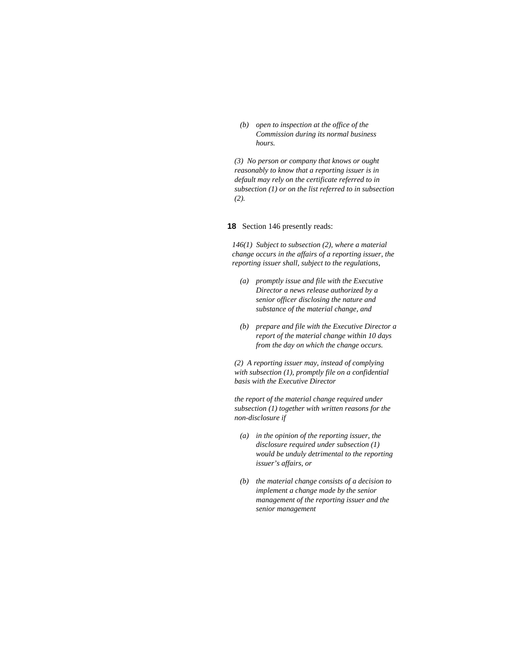*(b) open to inspection at the office of the Commission during its normal business hours.* 

*(3) No person or company that knows or ought reasonably to know that a reporting issuer is in default may rely on the certificate referred to in subsection (1) or on the list referred to in subsection (2).* 

#### **18** Section 146 presently reads:

*146(1) Subject to subsection (2), where a material change occurs in the affairs of a reporting issuer, the reporting issuer shall, subject to the regulations,* 

- *(a) promptly issue and file with the Executive Director a news release authorized by a senior officer disclosing the nature and substance of the material change, and*
- *(b) prepare and file with the Executive Director a report of the material change within 10 days from the day on which the change occurs.*

*(2) A reporting issuer may, instead of complying with subsection (1), promptly file on a confidential basis with the Executive Director* 

*the report of the material change required under subsection (1) together with written reasons for the non-disclosure if* 

- *(a) in the opinion of the reporting issuer, the disclosure required under subsection (1) would be unduly detrimental to the reporting issuer's affairs, or*
- *(b) the material change consists of a decision to implement a change made by the senior management of the reporting issuer and the senior management*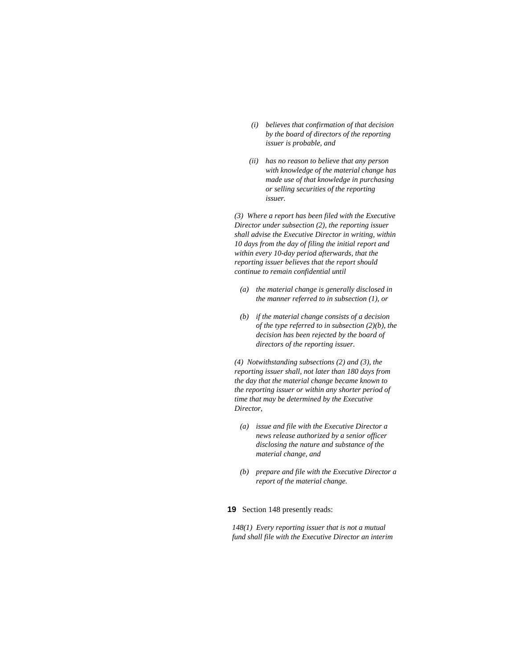- *(i) believes that confirmation of that decision by the board of directors of the reporting issuer is probable, and*
- *(ii) has no reason to believe that any person with knowledge of the material change has made use of that knowledge in purchasing or selling securities of the reporting issuer.*

*(3) Where a report has been filed with the Executive Director under subsection (2), the reporting issuer shall advise the Executive Director in writing, within 10 days from the day of filing the initial report and within every 10-day period afterwards, that the reporting issuer believes that the report should continue to remain confidential until* 

- *(a) the material change is generally disclosed in the manner referred to in subsection (1), or*
- *(b) if the material change consists of a decision of the type referred to in subsection (2)(b), the decision has been rejected by the board of directors of the reporting issuer.*

*(4) Notwithstanding subsections (2) and (3), the reporting issuer shall, not later than 180 days from the day that the material change became known to the reporting issuer or within any shorter period of time that may be determined by the Executive Director,* 

- *(a) issue and file with the Executive Director a news release authorized by a senior officer disclosing the nature and substance of the material change, and*
- *(b) prepare and file with the Executive Director a report of the material change.*

### **19** Section 148 presently reads:

*148(1) Every reporting issuer that is not a mutual fund shall file with the Executive Director an interim*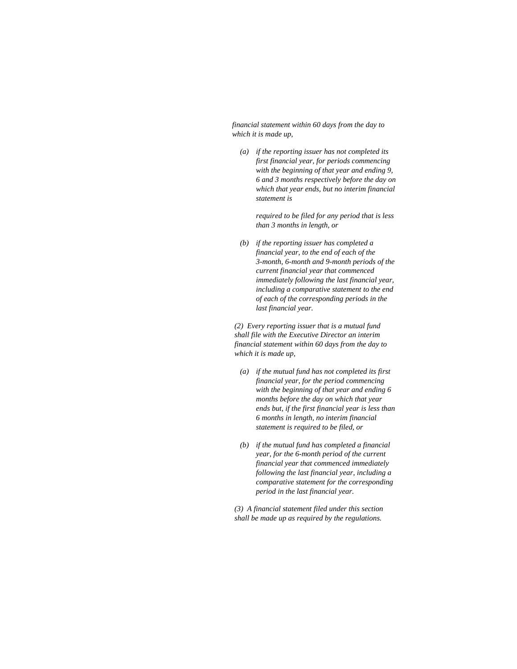*financial statement within 60 days from the day to which it is made up,* 

 *(a) if the reporting issuer has not completed its first financial year, for periods commencing with the beginning of that year and ending 9, 6 and 3 months respectively before the day on which that year ends, but no interim financial statement is* 

> *required to be filed for any period that is less than 3 months in length, or*

 *(b) if the reporting issuer has completed a financial year, to the end of each of the 3-month, 6-month and 9-month periods of the current financial year that commenced immediately following the last financial year, including a comparative statement to the end of each of the corresponding periods in the last financial year.* 

*(2) Every reporting issuer that is a mutual fund shall file with the Executive Director an interim financial statement within 60 days from the day to which it is made up,* 

- *(a) if the mutual fund has not completed its first financial year, for the period commencing with the beginning of that year and ending 6 months before the day on which that year ends but, if the first financial year is less than 6 months in length, no interim financial statement is required to be filed, or*
- *(b) if the mutual fund has completed a financial year, for the 6-month period of the current financial year that commenced immediately following the last financial year, including a comparative statement for the corresponding period in the last financial year.*

*(3) A financial statement filed under this section shall be made up as required by the regulations.*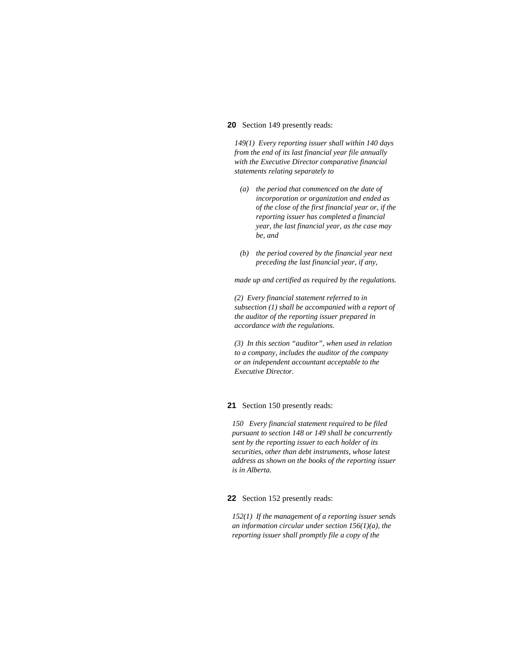### **20** Section 149 presently reads:

*149(1) Every reporting issuer shall within 140 days from the end of its last financial year file annually with the Executive Director comparative financial statements relating separately to* 

- *(a) the period that commenced on the date of incorporation or organization and ended as of the close of the first financial year or, if the reporting issuer has completed a financial year, the last financial year, as the case may be, and*
- *(b) the period covered by the financial year next preceding the last financial year, if any,*

*made up and certified as required by the regulations.* 

*(2) Every financial statement referred to in subsection (1) shall be accompanied with a report of the auditor of the reporting issuer prepared in accordance with the regulations.* 

*(3) In this section "auditor", when used in relation to a company, includes the auditor of the company or an independent accountant acceptable to the Executive Director.* 

#### **21** Section 150 presently reads:

*150 Every financial statement required to be filed pursuant to section 148 or 149 shall be concurrently sent by the reporting issuer to each holder of its securities, other than debt instruments, whose latest address as shown on the books of the reporting issuer is in Alberta.* 

#### **22** Section 152 presently reads:

*152(1) If the management of a reporting issuer sends an information circular under section 156(1)(a), the reporting issuer shall promptly file a copy of the*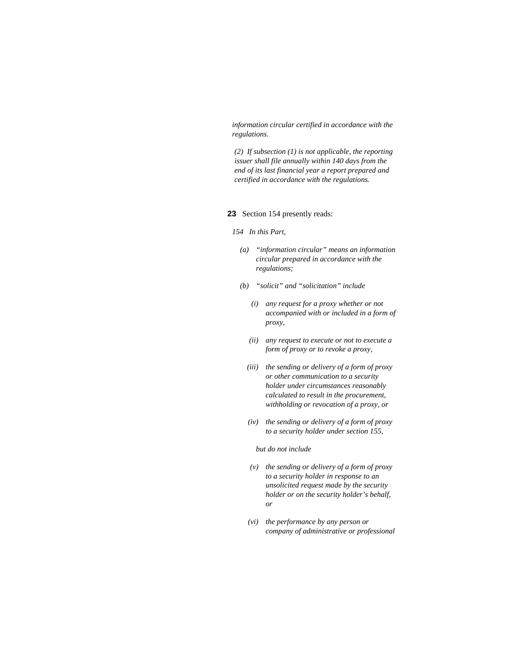*information circular certified in accordance with the regulations.* 

*(2) If subsection (1) is not applicable, the reporting issuer shall file annually within 140 days from the end of its last financial year a report prepared and certified in accordance with the regulations.* 

### **23** Section 154 presently reads:

#### *154 In this Part,*

- *(a) "information circular" means an information circular prepared in accordance with the regulations;*
- *(b) "solicit" and "solicitation" include* 
	- *(i) any request for a proxy whether or not accompanied with or included in a form of proxy,*
	- *(ii) any request to execute or not to execute a form of proxy or to revoke a proxy,*
	- *(iii) the sending or delivery of a form of proxy or other communication to a security holder under circumstances reasonably calculated to result in the procurement, withholding or revocation of a proxy, or*
	- *(iv) the sending or delivery of a form of proxy to a security holder under section 155,*

 *but do not include* 

- *(v) the sending or delivery of a form of proxy to a security holder in response to an unsolicited request made by the security holder or on the security holder's behalf, or*
- *(vi) the performance by any person or company of administrative or professional*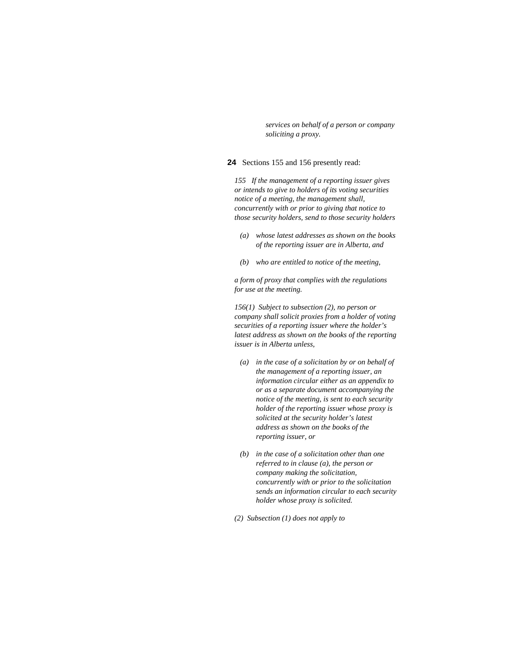*services on behalf of a person or company soliciting a proxy.* 

#### **24** Sections 155 and 156 presently read:

*155 If the management of a reporting issuer gives or intends to give to holders of its voting securities notice of a meeting, the management shall, concurrently with or prior to giving that notice to those security holders, send to those security holders* 

- *(a) whose latest addresses as shown on the books of the reporting issuer are in Alberta, and*
- *(b) who are entitled to notice of the meeting,*

*a form of proxy that complies with the regulations for use at the meeting.* 

*156(1) Subject to subsection (2), no person or company shall solicit proxies from a holder of voting securities of a reporting issuer where the holder's latest address as shown on the books of the reporting issuer is in Alberta unless,* 

- *(a) in the case of a solicitation by or on behalf of the management of a reporting issuer, an information circular either as an appendix to or as a separate document accompanying the notice of the meeting, is sent to each security holder of the reporting issuer whose proxy is solicited at the security holder's latest address as shown on the books of the reporting issuer, or*
- *(b) in the case of a solicitation other than one referred to in clause (a), the person or company making the solicitation, concurrently with or prior to the solicitation sends an information circular to each security holder whose proxy is solicited.*
- *(2) Subsection (1) does not apply to*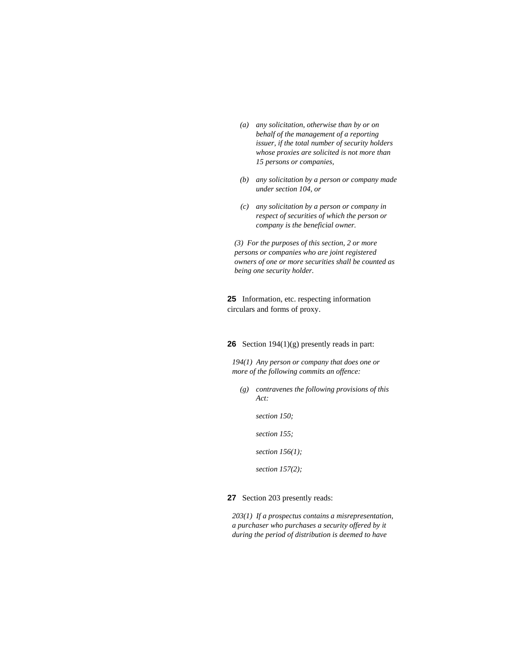- *(a) any solicitation, otherwise than by or on behalf of the management of a reporting issuer, if the total number of security holders whose proxies are solicited is not more than 15 persons or companies,*
- *(b) any solicitation by a person or company made under section 104, or*
- *(c) any solicitation by a person or company in respect of securities of which the person or company is the beneficial owner.*

*(3) For the purposes of this section, 2 or more persons or companies who are joint registered owners of one or more securities shall be counted as being one security holder.* 

**25** Information, etc. respecting information circulars and forms of proxy.

### **26** Section 194(1)(g) presently reads in part:

*194(1) Any person or company that does one or more of the following commits an offence:* 

- *(g) contravenes the following provisions of this Act:* 
	- *section 150;*
	- *section 155;*

 *section 156(1);* 

 *section 157(2);* 

**27** Section 203 presently reads:

*203(1) If a prospectus contains a misrepresentation, a purchaser who purchases a security offered by it during the period of distribution is deemed to have*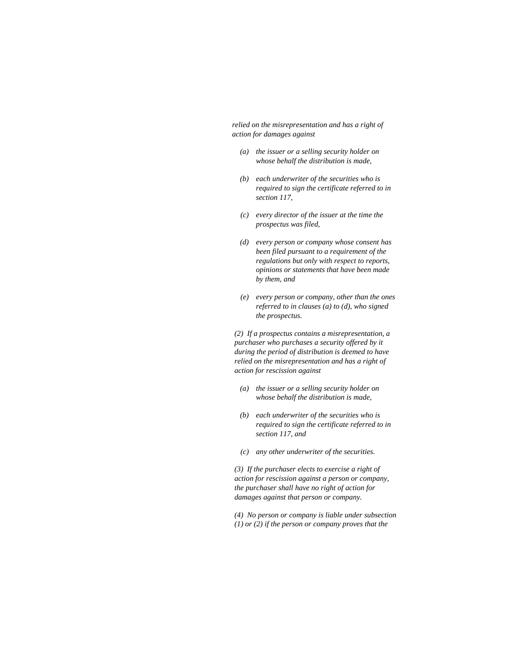*relied on the misrepresentation and has a right of action for damages against* 

- *(a) the issuer or a selling security holder on whose behalf the distribution is made,*
- *(b) each underwriter of the securities who is required to sign the certificate referred to in section 117,*
- *(c) every director of the issuer at the time the prospectus was filed,*
- *(d) every person or company whose consent has been filed pursuant to a requirement of the regulations but only with respect to reports, opinions or statements that have been made by them, and*
- *(e) every person or company, other than the ones referred to in clauses (a) to (d), who signed the prospectus.*

*(2) If a prospectus contains a misrepresentation, a purchaser who purchases a security offered by it during the period of distribution is deemed to have relied on the misrepresentation and has a right of action for rescission against* 

- *(a) the issuer or a selling security holder on whose behalf the distribution is made,*
- *(b) each underwriter of the securities who is required to sign the certificate referred to in section 117, and*
- *(c) any other underwriter of the securities.*

*(3) If the purchaser elects to exercise a right of action for rescission against a person or company, the purchaser shall have no right of action for damages against that person or company.* 

*(4) No person or company is liable under subsection (1) or (2) if the person or company proves that the*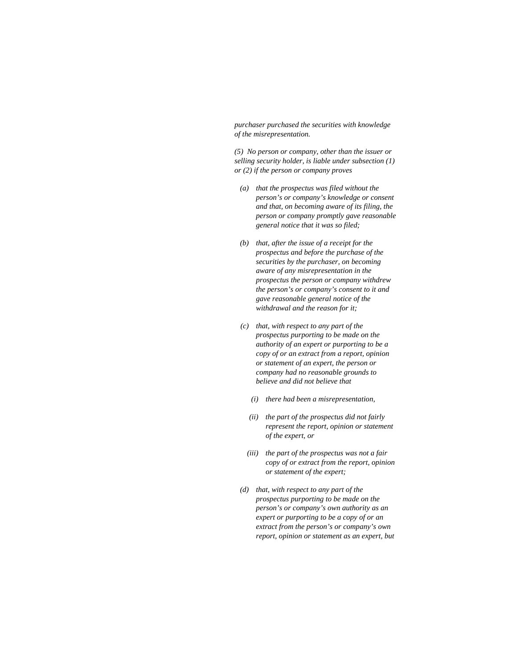*purchaser purchased the securities with knowledge of the misrepresentation.* 

*(5) No person or company, other than the issuer or selling security holder, is liable under subsection (1) or (2) if the person or company proves* 

- *(a) that the prospectus was filed without the person's or company's knowledge or consent and that, on becoming aware of its filing, the person or company promptly gave reasonable general notice that it was so filed;*
- *(b) that, after the issue of a receipt for the prospectus and before the purchase of the securities by the purchaser, on becoming aware of any misrepresentation in the prospectus the person or company withdrew the person's or company's consent to it and gave reasonable general notice of the withdrawal and the reason for it;*
- *(c) that, with respect to any part of the prospectus purporting to be made on the authority of an expert or purporting to be a copy of or an extract from a report, opinion or statement of an expert, the person or company had no reasonable grounds to believe and did not believe that* 
	- *(i) there had been a misrepresentation,*
	- *(ii) the part of the prospectus did not fairly represent the report, opinion or statement of the expert, or*
	- *(iii) the part of the prospectus was not a fair copy of or extract from the report, opinion or statement of the expert;*
- *(d) that, with respect to any part of the prospectus purporting to be made on the person's or company's own authority as an expert or purporting to be a copy of or an extract from the person's or company's own report, opinion or statement as an expert, but*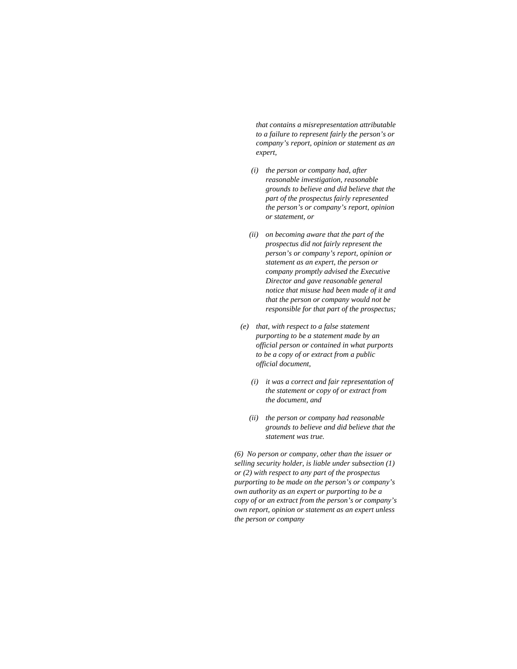*that contains a misrepresentation attributable to a failure to represent fairly the person's or company's report, opinion or statement as an expert,* 

- *(i) the person or company had, after reasonable investigation, reasonable grounds to believe and did believe that the part of the prospectus fairly represented the person's or company's report, opinion or statement, or*
- *(ii) on becoming aware that the part of the prospectus did not fairly represent the person's or company's report, opinion or statement as an expert, the person or company promptly advised the Executive Director and gave reasonable general notice that misuse had been made of it and that the person or company would not be responsible for that part of the prospectus;*
- *(e) that, with respect to a false statement purporting to be a statement made by an official person or contained in what purports to be a copy of or extract from a public official document,* 
	- *(i) it was a correct and fair representation of the statement or copy of or extract from the document, and*
	- *(ii) the person or company had reasonable grounds to believe and did believe that the statement was true.*

*(6) No person or company, other than the issuer or selling security holder, is liable under subsection (1) or (2) with respect to any part of the prospectus purporting to be made on the person's or company's own authority as an expert or purporting to be a copy of or an extract from the person's or company's own report, opinion or statement as an expert unless the person or company*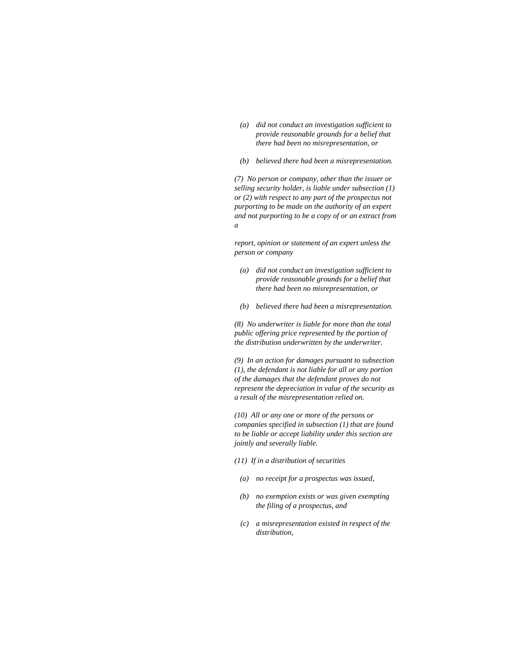- *(a) did not conduct an investigation sufficient to provide reasonable grounds for a belief that there had been no misrepresentation, or*
- *(b) believed there had been a misrepresentation.*

*(7) No person or company, other than the issuer or selling security holder, is liable under subsection (1) or (2) with respect to any part of the prospectus not purporting to be made on the authority of an expert and not purporting to be a copy of or an extract from a* 

*report, opinion or statement of an expert unless the person or company* 

- *(a) did not conduct an investigation sufficient to provide reasonable grounds for a belief that there had been no misrepresentation, or*
- *(b) believed there had been a misrepresentation.*

*(8) No underwriter is liable for more than the total public offering price represented by the portion of the distribution underwritten by the underwriter.* 

*(9) In an action for damages pursuant to subsection (1), the defendant is not liable for all or any portion of the damages that the defendant proves do not represent the depreciation in value of the security as a result of the misrepresentation relied on.* 

*(10) All or any one or more of the persons or companies specified in subsection (1) that are found to be liable or accept liability under this section are jointly and severally liable.* 

- *(11) If in a distribution of securities* 
	- *(a) no receipt for a prospectus was issued,*
	- *(b) no exemption exists or was given exempting the filing of a prospectus, and*
	- *(c) a misrepresentation existed in respect of the distribution,*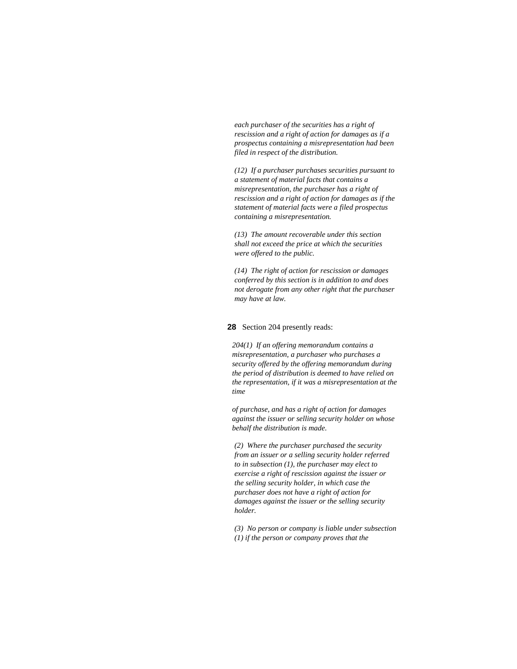*each purchaser of the securities has a right of rescission and a right of action for damages as if a prospectus containing a misrepresentation had been filed in respect of the distribution.* 

*(12) If a purchaser purchases securities pursuant to a statement of material facts that contains a misrepresentation, the purchaser has a right of rescission and a right of action for damages as if the statement of material facts were a filed prospectus containing a misrepresentation.* 

*(13) The amount recoverable under this section shall not exceed the price at which the securities were offered to the public.* 

*(14) The right of action for rescission or damages conferred by this section is in addition to and does not derogate from any other right that the purchaser may have at law.* 

#### **28** Section 204 presently reads:

*204(1) If an offering memorandum contains a misrepresentation, a purchaser who purchases a security offered by the offering memorandum during the period of distribution is deemed to have relied on the representation, if it was a misrepresentation at the time* 

*of purchase, and has a right of action for damages against the issuer or selling security holder on whose behalf the distribution is made.* 

*(2) Where the purchaser purchased the security from an issuer or a selling security holder referred to in subsection (1), the purchaser may elect to exercise a right of rescission against the issuer or the selling security holder, in which case the purchaser does not have a right of action for damages against the issuer or the selling security holder.* 

*(3) No person or company is liable under subsection (1) if the person or company proves that the*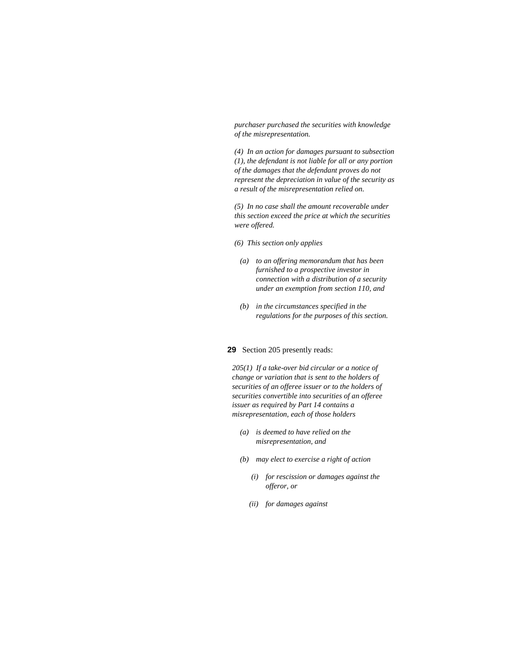*purchaser purchased the securities with knowledge of the misrepresentation.* 

*(4) In an action for damages pursuant to subsection (1), the defendant is not liable for all or any portion of the damages that the defendant proves do not represent the depreciation in value of the security as a result of the misrepresentation relied on.* 

*(5) In no case shall the amount recoverable under this section exceed the price at which the securities were offered.* 

- *(6) This section only applies*
- *(a) to an offering memorandum that has been furnished to a prospective investor in connection with a distribution of a security under an exemption from section 110, and*
- *(b) in the circumstances specified in the regulations for the purposes of this section.*

#### **29** Section 205 presently reads:

*205(1) If a take-over bid circular or a notice of change or variation that is sent to the holders of securities of an offeree issuer or to the holders of securities convertible into securities of an offeree issuer as required by Part 14 contains a misrepresentation, each of those holders* 

- *(a) is deemed to have relied on the misrepresentation, and*
- *(b) may elect to exercise a right of action* 
	- *(i) for rescission or damages against the offeror, or*
	- *(ii) for damages against*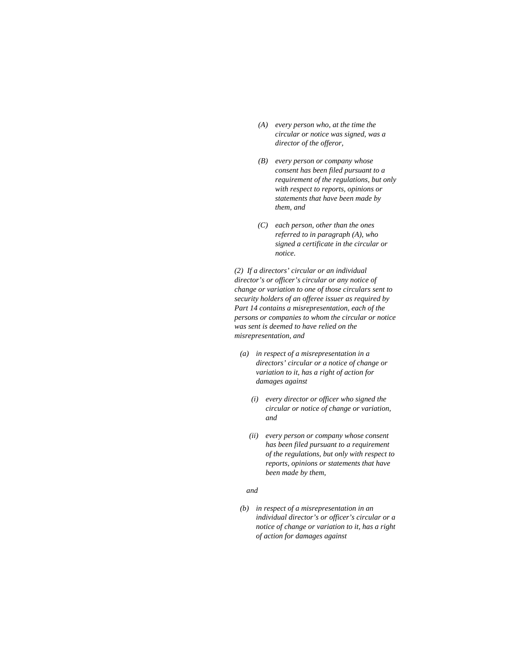- *(A) every person who, at the time the circular or notice was signed, was a director of the offeror,*
- *(B) every person or company whose consent has been filed pursuant to a requirement of the regulations, but only with respect to reports, opinions or statements that have been made by them, and*
- *(C) each person, other than the ones referred to in paragraph (A), who signed a certificate in the circular or notice.*

*(2) If a directors' circular or an individual director's or officer's circular or any notice of change or variation to one of those circulars sent to security holders of an offeree issuer as required by Part 14 contains a misrepresentation, each of the persons or companies to whom the circular or notice was sent is deemed to have relied on the misrepresentation, and* 

- *(a) in respect of a misrepresentation in a directors' circular or a notice of change or variation to it, has a right of action for damages against* 
	- *(i) every director or officer who signed the circular or notice of change or variation, and*
	- *(ii) every person or company whose consent has been filed pursuant to a requirement of the regulations, but only with respect to reports, opinions or statements that have been made by them,*

#### *and*

 *(b) in respect of a misrepresentation in an individual director's or officer's circular or a notice of change or variation to it, has a right of action for damages against*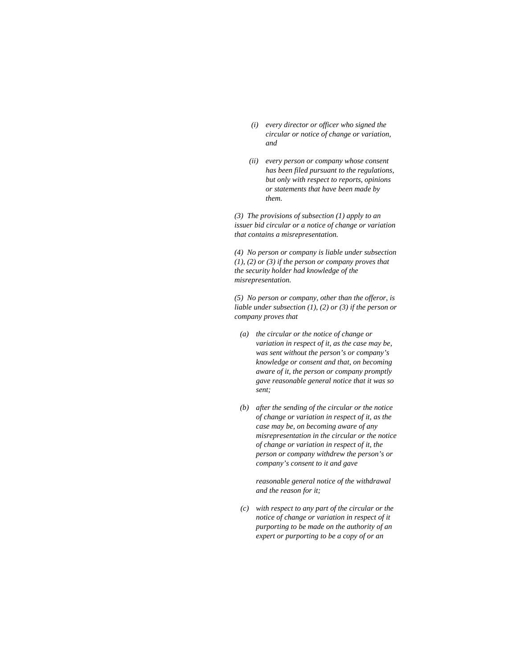- *(i) every director or officer who signed the circular or notice of change or variation, and*
- *(ii) every person or company whose consent has been filed pursuant to the regulations, but only with respect to reports, opinions or statements that have been made by them.*

*(3) The provisions of subsection (1) apply to an issuer bid circular or a notice of change or variation that contains a misrepresentation.* 

*(4) No person or company is liable under subsection (1), (2) or (3) if the person or company proves that the security holder had knowledge of the misrepresentation.* 

*(5) No person or company, other than the offeror, is liable under subsection (1), (2) or (3) if the person or company proves that* 

- *(a) the circular or the notice of change or variation in respect of it, as the case may be, was sent without the person's or company's knowledge or consent and that, on becoming aware of it, the person or company promptly gave reasonable general notice that it was so sent;*
- *(b) after the sending of the circular or the notice of change or variation in respect of it, as the case may be, on becoming aware of any misrepresentation in the circular or the notice of change or variation in respect of it, the person or company withdrew the person's or company's consent to it and gave*

 *reasonable general notice of the withdrawal and the reason for it;* 

 *(c) with respect to any part of the circular or the notice of change or variation in respect of it purporting to be made on the authority of an expert or purporting to be a copy of or an*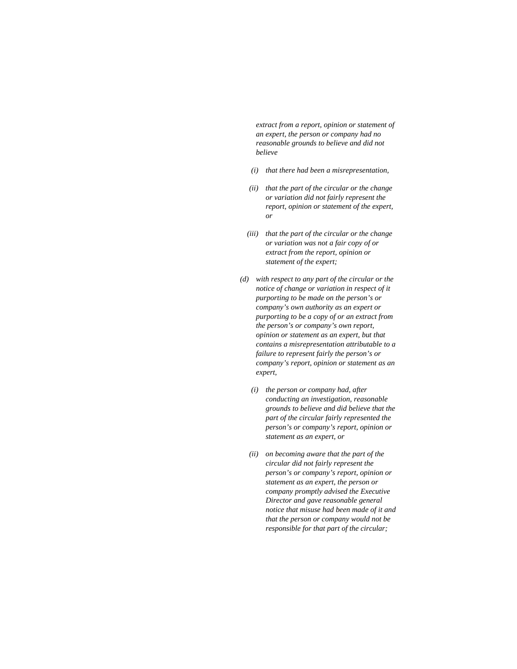*extract from a report, opinion or statement of an expert, the person or company had no reasonable grounds to believe and did not believe* 

- *(i) that there had been a misrepresentation,*
- *(ii) that the part of the circular or the change or variation did not fairly represent the report, opinion or statement of the expert, or*
- *(iii) that the part of the circular or the change or variation was not a fair copy of or extract from the report, opinion or statement of the expert;*
- *(d) with respect to any part of the circular or the notice of change or variation in respect of it purporting to be made on the person's or company's own authority as an expert or purporting to be a copy of or an extract from the person's or company's own report, opinion or statement as an expert, but that contains a misrepresentation attributable to a failure to represent fairly the person's or company's report, opinion or statement as an expert,* 
	- *(i) the person or company had, after conducting an investigation, reasonable grounds to believe and did believe that the part of the circular fairly represented the person's or company's report, opinion or statement as an expert, or*
	- *(ii) on becoming aware that the part of the circular did not fairly represent the person's or company's report, opinion or statement as an expert, the person or company promptly advised the Executive Director and gave reasonable general notice that misuse had been made of it and that the person or company would not be responsible for that part of the circular;*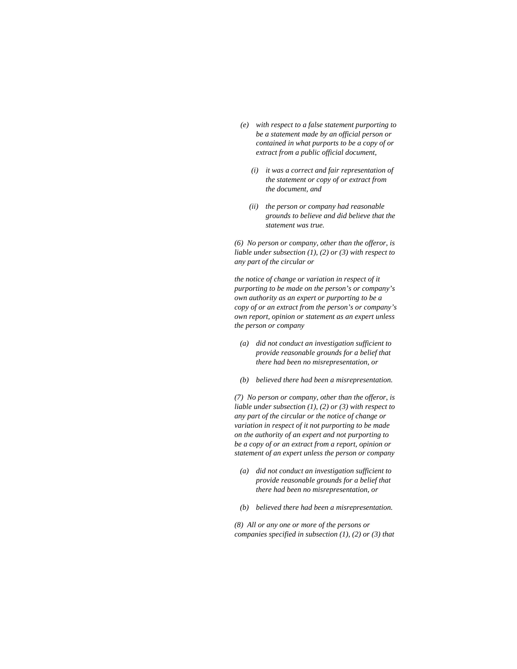- *(e) with respect to a false statement purporting to be a statement made by an official person or contained in what purports to be a copy of or extract from a public official document,* 
	- *(i) it was a correct and fair representation of the statement or copy of or extract from the document, and*
	- *(ii) the person or company had reasonable grounds to believe and did believe that the statement was true.*

*(6) No person or company, other than the offeror, is liable under subsection (1), (2) or (3) with respect to any part of the circular or* 

*the notice of change or variation in respect of it purporting to be made on the person's or company's own authority as an expert or purporting to be a copy of or an extract from the person's or company's own report, opinion or statement as an expert unless the person or company* 

- *(a) did not conduct an investigation sufficient to provide reasonable grounds for a belief that there had been no misrepresentation, or*
- *(b) believed there had been a misrepresentation.*

*(7) No person or company, other than the offeror, is liable under subsection (1), (2) or (3) with respect to any part of the circular or the notice of change or variation in respect of it not purporting to be made on the authority of an expert and not purporting to be a copy of or an extract from a report, opinion or statement of an expert unless the person or company* 

- *(a) did not conduct an investigation sufficient to provide reasonable grounds for a belief that there had been no misrepresentation, or*
- *(b) believed there had been a misrepresentation.*

*(8) All or any one or more of the persons or companies specified in subsection (1), (2) or (3) that*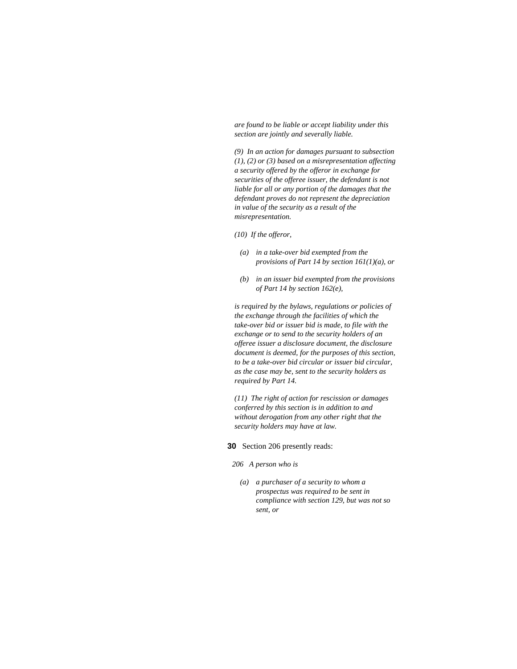*are found to be liable or accept liability under this section are jointly and severally liable.* 

*(9) In an action for damages pursuant to subsection (1), (2) or (3) based on a misrepresentation affecting a security offered by the offeror in exchange for securities of the offeree issuer, the defendant is not liable for all or any portion of the damages that the defendant proves do not represent the depreciation in value of the security as a result of the misrepresentation.* 

*(10) If the offeror,* 

- *(a) in a take-over bid exempted from the provisions of Part 14 by section 161(1)(a), or*
- *(b) in an issuer bid exempted from the provisions of Part 14 by section 162(e),*

*is required by the bylaws, regulations or policies of the exchange through the facilities of which the take-over bid or issuer bid is made, to file with the exchange or to send to the security holders of an offeree issuer a disclosure document, the disclosure document is deemed, for the purposes of this section, to be a take-over bid circular or issuer bid circular, as the case may be, sent to the security holders as required by Part 14.* 

*(11) The right of action for rescission or damages conferred by this section is in addition to and without derogation from any other right that the security holders may have at law.* 

**30** Section 206 presently reads:

*206 A person who is* 

 *(a) a purchaser of a security to whom a prospectus was required to be sent in compliance with section 129, but was not so sent, or*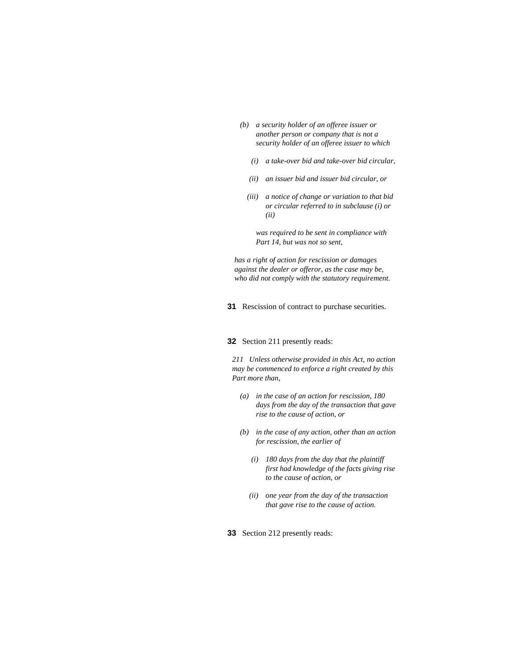- *(b) a security holder of an offeree issuer or another person or company that is not a security holder of an offeree issuer to which* 
	- *(i) a take-over bid and take-over bid circular,*
	- *(ii) an issuer bid and issuer bid circular, or*
	- *(iii) a notice of change or variation to that bid or circular referred to in subclause (i) or (ii)*

 *was required to be sent in compliance with Part 14, but was not so sent,* 

*has a right of action for rescission or damages against the dealer or offeror, as the case may be, who did not comply with the statutory requirement.* 

**31** Rescission of contract to purchase securities.

#### **32** Section 211 presently reads:

*211 Unless otherwise provided in this Act, no action may be commenced to enforce a right created by this Part more than,* 

- *(a) in the case of an action for rescission, 180 days from the day of the transaction that gave rise to the cause of action, or*
- *(b) in the case of any action, other than an action for rescission, the earlier of* 
	- *(i) 180 days from the day that the plaintiff first had knowledge of the facts giving rise to the cause of action, or*
	- *(ii) one year from the day of the transaction that gave rise to the cause of action.*

**33** Section 212 presently reads: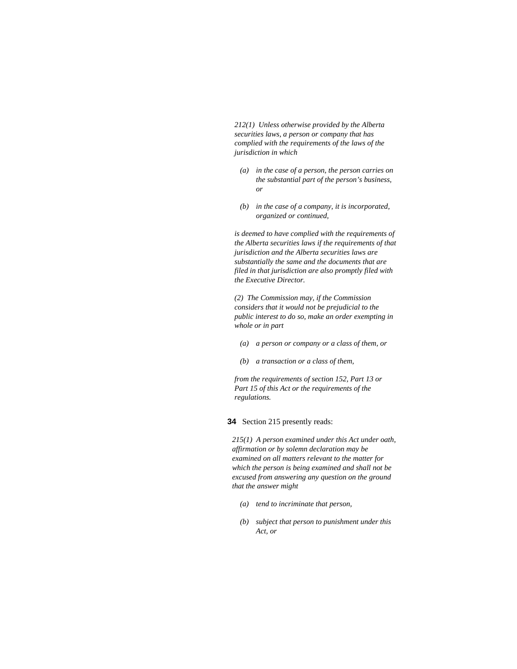*212(1) Unless otherwise provided by the Alberta securities laws, a person or company that has complied with the requirements of the laws of the jurisdiction in which* 

- *(a) in the case of a person, the person carries on the substantial part of the person's business, or*
- *(b) in the case of a company, it is incorporated, organized or continued,*

*is deemed to have complied with the requirements of the Alberta securities laws if the requirements of that jurisdiction and the Alberta securities laws are substantially the same and the documents that are filed in that jurisdiction are also promptly filed with the Executive Director.* 

*(2) The Commission may, if the Commission considers that it would not be prejudicial to the public interest to do so, make an order exempting in whole or in part* 

- *(a) a person or company or a class of them, or*
- *(b) a transaction or a class of them,*

*from the requirements of section 152, Part 13 or Part 15 of this Act or the requirements of the regulations.* 

**34** Section 215 presently reads:

*215(1) A person examined under this Act under oath, affirmation or by solemn declaration may be examined on all matters relevant to the matter for which the person is being examined and shall not be excused from answering any question on the ground that the answer might* 

- *(a) tend to incriminate that person,*
- *(b) subject that person to punishment under this Act, or*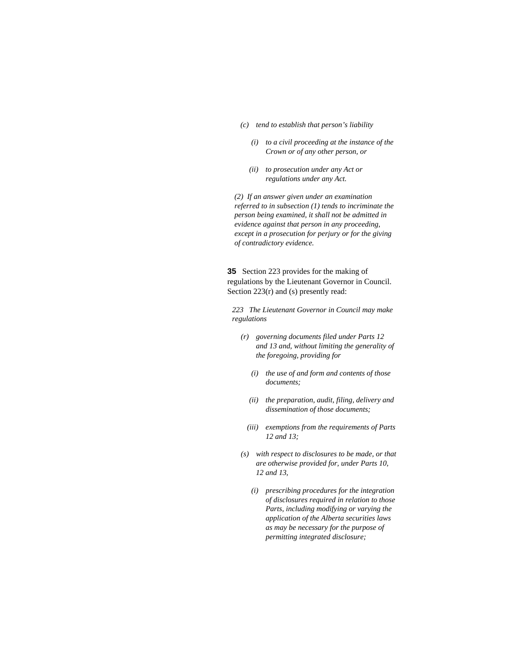- *(c) tend to establish that person's liability* 
	- *(i) to a civil proceeding at the instance of the Crown or of any other person, or*
	- *(ii) to prosecution under any Act or regulations under any Act.*

*(2) If an answer given under an examination referred to in subsection (1) tends to incriminate the person being examined, it shall not be admitted in evidence against that person in any proceeding, except in a prosecution for perjury or for the giving of contradictory evidence.* 

**35** Section 223 provides for the making of regulations by the Lieutenant Governor in Council. Section 223(r) and (s) presently read:

*223 The Lieutenant Governor in Council may make regulations* 

- *(r) governing documents filed under Parts 12 and 13 and, without limiting the generality of the foregoing, providing for* 
	- *(i) the use of and form and contents of those documents;*
	- *(ii) the preparation, audit, filing, delivery and dissemination of those documents;*
	- *(iii) exemptions from the requirements of Parts 12 and 13;*
- *(s) with respect to disclosures to be made, or that are otherwise provided for, under Parts 10, 12 and 13,* 
	- *(i) prescribing procedures for the integration of disclosures required in relation to those Parts, including modifying or varying the application of the Alberta securities laws as may be necessary for the purpose of permitting integrated disclosure;*